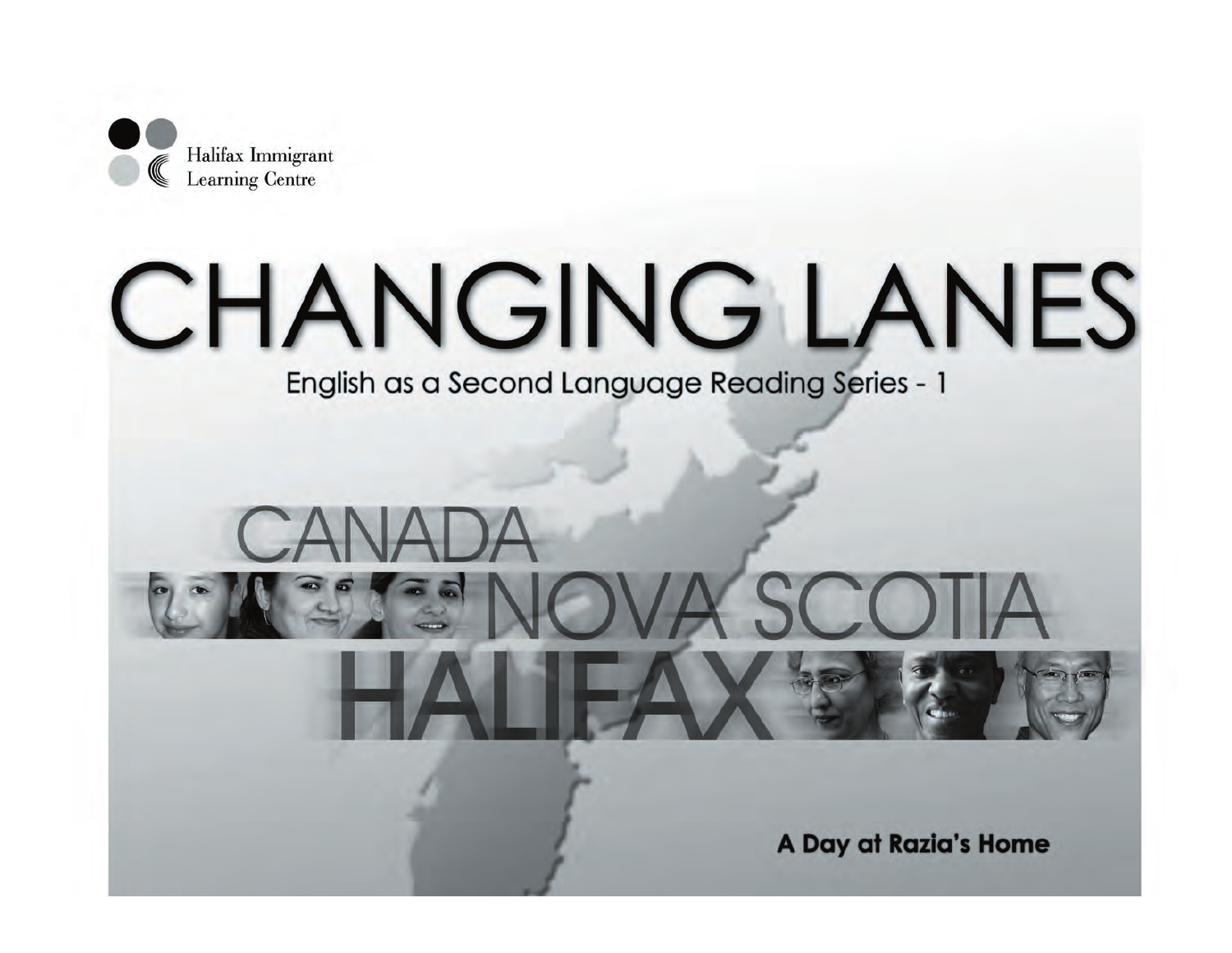

# **CHANGING LANES**

English as a Second Language Reading Series - 1

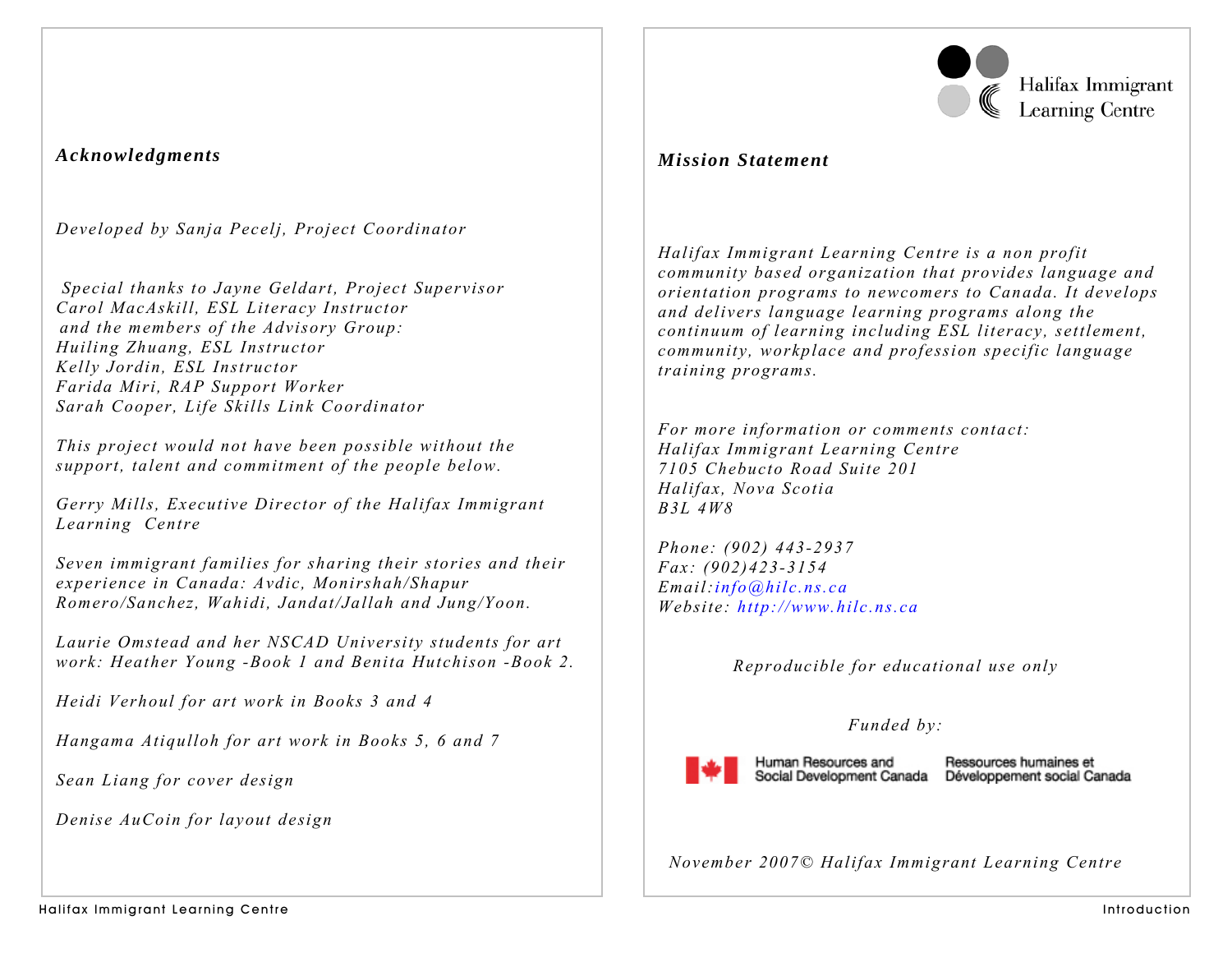

Halifax Immigrant **Learning Centre** 

## *Acknowledgments*

*Developed by Sanja Pecelj, Project Coordinator* 

 *Special thanks to Jayne Geldart, Project Supervisor Carol MacAskill, ESL Literacy Instructor and the members of the Advisory Group: Huiling Zhuang, ESL Instructor Kelly Jordin, ESL Instructor Farida Miri, RAP Support Worker Sarah Cooper, Life Skills Link Coordinator* 

*This project would not have been possible without the support, talent and commitment of the people below.* 

*Gerry Mills, Executive Director of the Halifax Immigrant Learning Centre* 

*Seven immigrant families for sharing their stories and their experience in Canada: Avdic, Monirshah/Shapur Romero/Sanchez, Wahidi, Jandat/Jallah and Jung/Yoon.* 

*Laurie Omstead and her NSCAD University students for art work: Heather Young -Book 1 and Benita Hutchison -Book 2.* 

*Heidi Verhoul for art work in Books 3 and 4* 

*Hangama Atiqulloh for art work in Books 5, 6 and 7* 

*Sean Liang for cover design* 

*Denise AuCoin for layout design* 

## *Mission Statement*

*Halifax Immigrant Learning Centre is a non profit community based organization that provides language and orientation programs to newcomers to Canada. It develops and delivers language learning programs along the continuum of learning including ESL literacy, settlement, community, workplace and profession specific language training programs.* 

*For more information or comments contact: Halifax Immigrant Learning Centre 7105 Chebucto Road Suite 201 Halifax, Nova Scotia B3L 4W8* 

*Phone: (902) 443-2937 Fax: (902)423-3154 Email:info@hilc.ns.ca Website: http://www.hilc.ns.ca*

*Reproducible for educational use only* 

## *Funded by:*



Human Resources and

Ressources humaines et Social Development Canada Développement social Canada

*November 2007© Halifax Immigrant Learning Centre*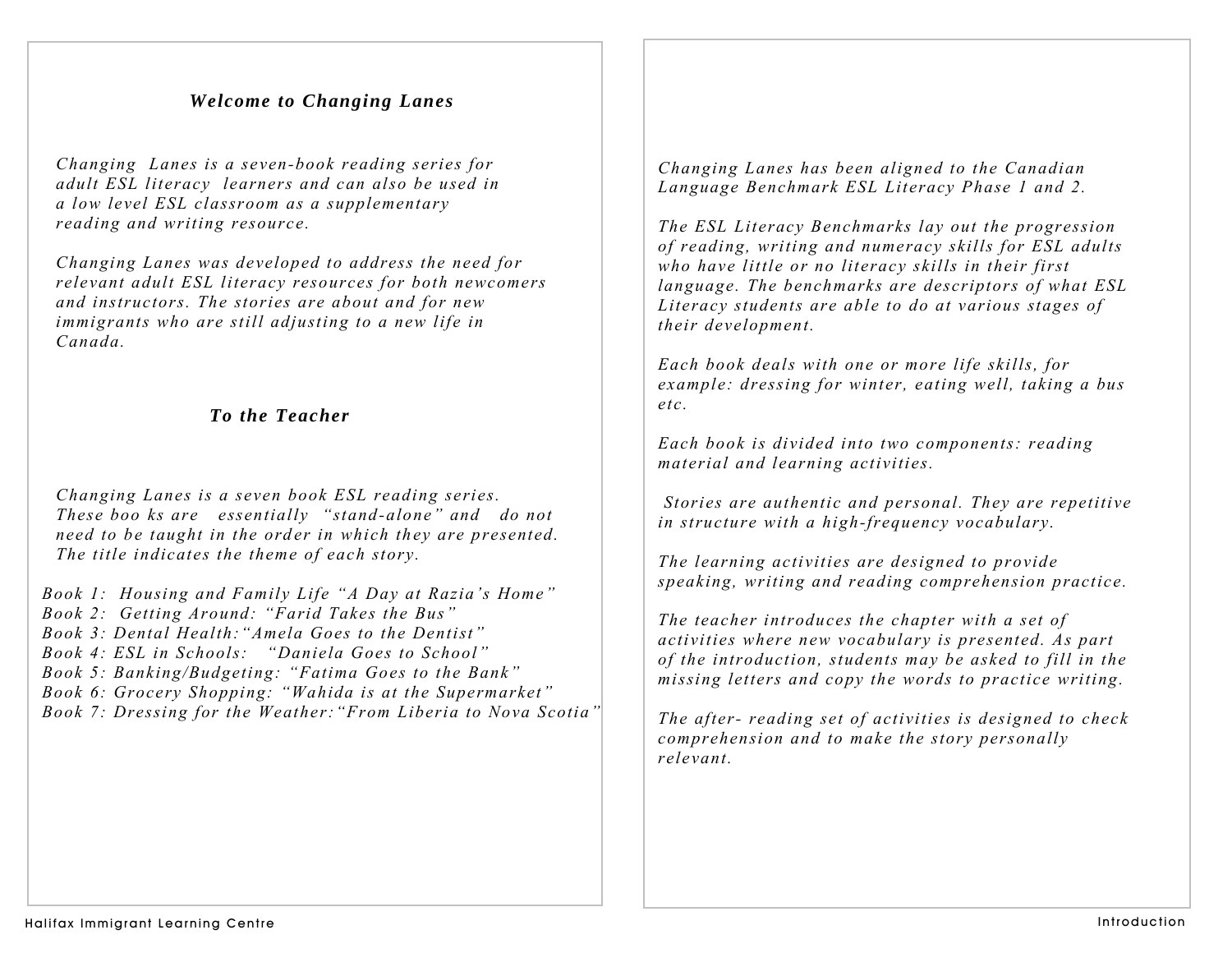## *Welcome to Changing Lanes*

*Changing Lanes is a seven-book reading series for adult ESL literacy learners and can also be used in a low level ESL classroom as a supplementary reading and writing resource.* 

*Changing Lanes was developed to address the need for relevant adult ESL literacy resources for both newcomers and instructors. The stories are about and for new immigrants who are still adjusting to a new life in Canada.* 

### *To the Teacher*

*Changing Lanes is a seven book ESL reading series. These boo ks are essentially "stand-alone" and do not need to be taught in the order in which they are presented. The title indicates the theme of each story.* 

- *Book 1: Housing and Family Life "A Day at Razia's Home"*
- *Book 2: Getting Around: "Farid Takes the Bus"*
- *Book 3: Dental Health:"Amela Goes to the Dentist"*
- *Book 4: ESL in Schools: "Daniela Goes to School"*
- *Book 5: Banking/Budgeting: "Fatima Goes to the Bank"*
- *Book 6: Grocery Shopping: "Wahida is at the Supermarket"*
- *Book 7: Dressing for the Weather:"From Liberia to Nova Scotia"*

*Changing Lanes has been aligned to the Canadian Language Benchmark ESL Literacy Phase 1 and 2.* 

*The ESL Literacy Benchmarks lay out the progression of reading, writing and numeracy skills for ESL adults who have little or no literacy skills in their first language. The benchmarks are descriptors of what ESL Literacy students are able to do at various stages of their development.* 

*Each book deals with one or more life skills, for example: dressing for winter, eating well, taking a bus etc.* 

*Each book is divided into two components: reading material and learning activities.* 

 *Stories are authentic and personal. They are repetitive in structure with a high-frequency vocabulary.* 

*The learning activities are designed to provide speaking, writing and reading comprehension practice.* 

*The teacher introduces the chapter with a set of activities where new vocabulary is presented. As part of the introduction, students may be asked to fill in the missing letters and copy the words to practice writing.* 

*The after- reading set of activities is designed to check comprehension and to make the story personally relevant.*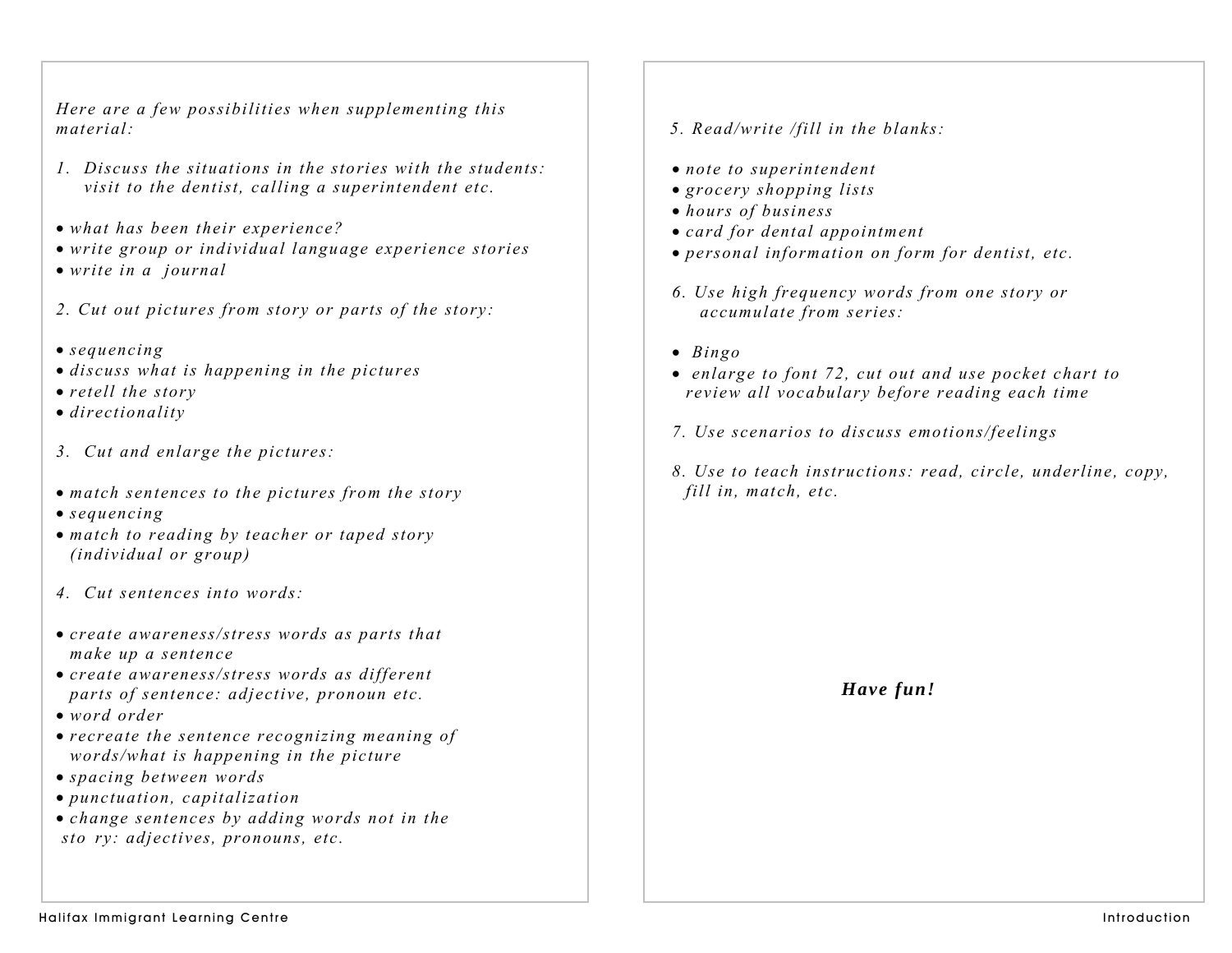*Here are a few possibilities when supplementing this material:* 

- *1. Discuss the situations in the stories with the students: visit to the dentist, calling a superintendent etc.*
- *what has been their experience?*
- *write group or individual language experience stories*
- *write in a journal*
- *2. Cut out pictures from story or parts of the story:*
- *sequencing*
- *discuss what is happening in the pictures*
- *retell the story*
- *directionality*
- *3. Cut and enlarge the pictures:*
- *match sentences to the pictures from the story*
- *sequencing*
- *match to reading by teacher or taped story (individual or group)*
- *4. Cut sentences into words:*
- *create awareness/stress words as parts that make up a sentence*
- *create awareness/stress words as different parts of sentence: adjective, pronoun etc.*
- *word order*
- *recreate the sentence recognizing meaning of words/what is happening in the picture*
- *spacing between words*
- *punctuation, capitalization*
- *change sentences by adding words not in the sto ry: adjectives, pronouns, etc.*
- *5. Read/write /fill in the blanks:*
- *note to superintendent*
- *grocery shopping lists*
- *hours of business*
- *card for dental appointment*
- *personal information on form for dentist, etc.*
- *6. Use high frequency words from one story or accumulate from series:*
- • *Bingo*
- • *enlarge to font 72, cut out and use pocket chart to review all vocabulary before reading each time*
- *7. Use scenarios to discuss emotions/feelings*
- *8. Use to teach instructions: read, circle, underline, copy, fill in, match, etc.*

*Have fun!*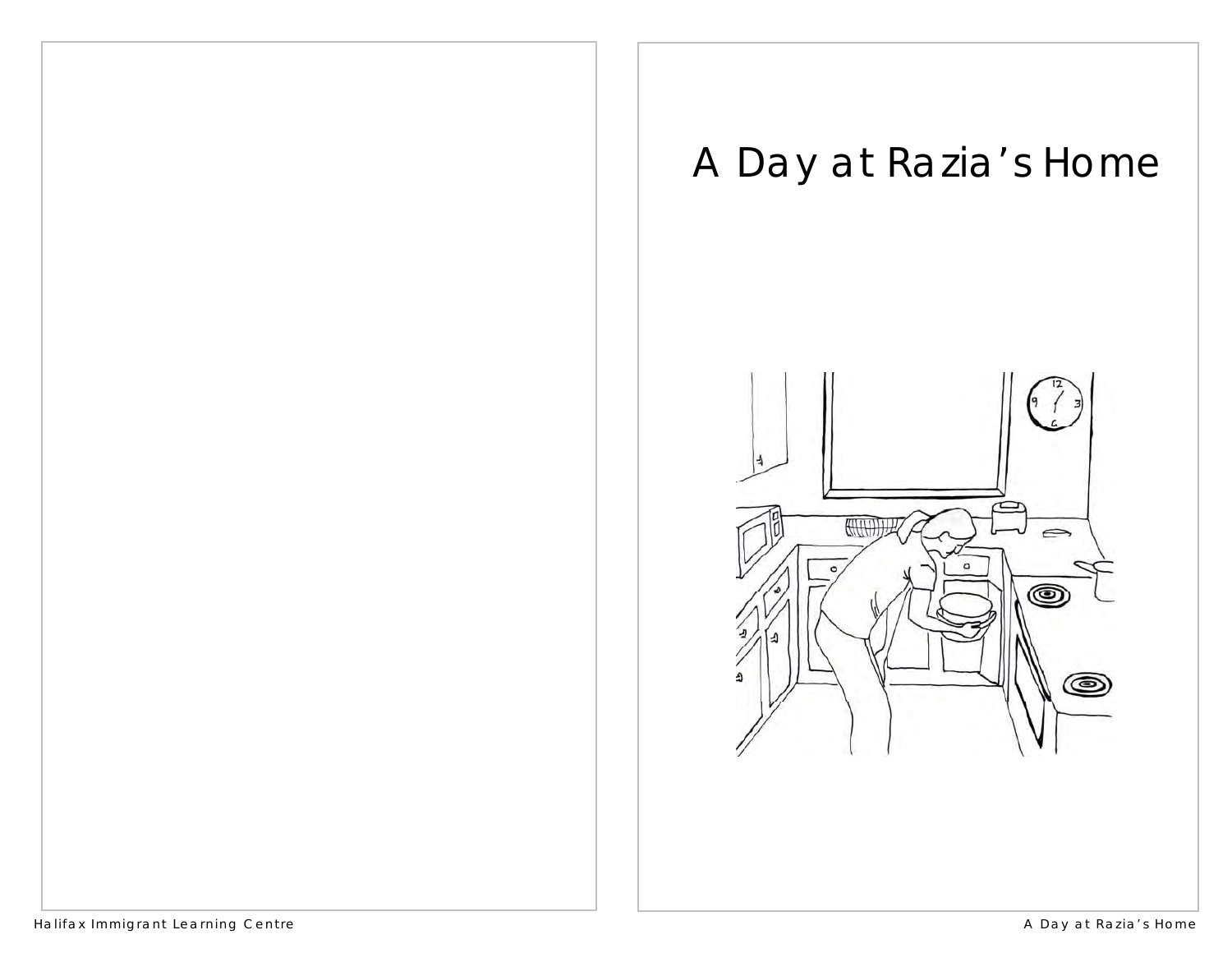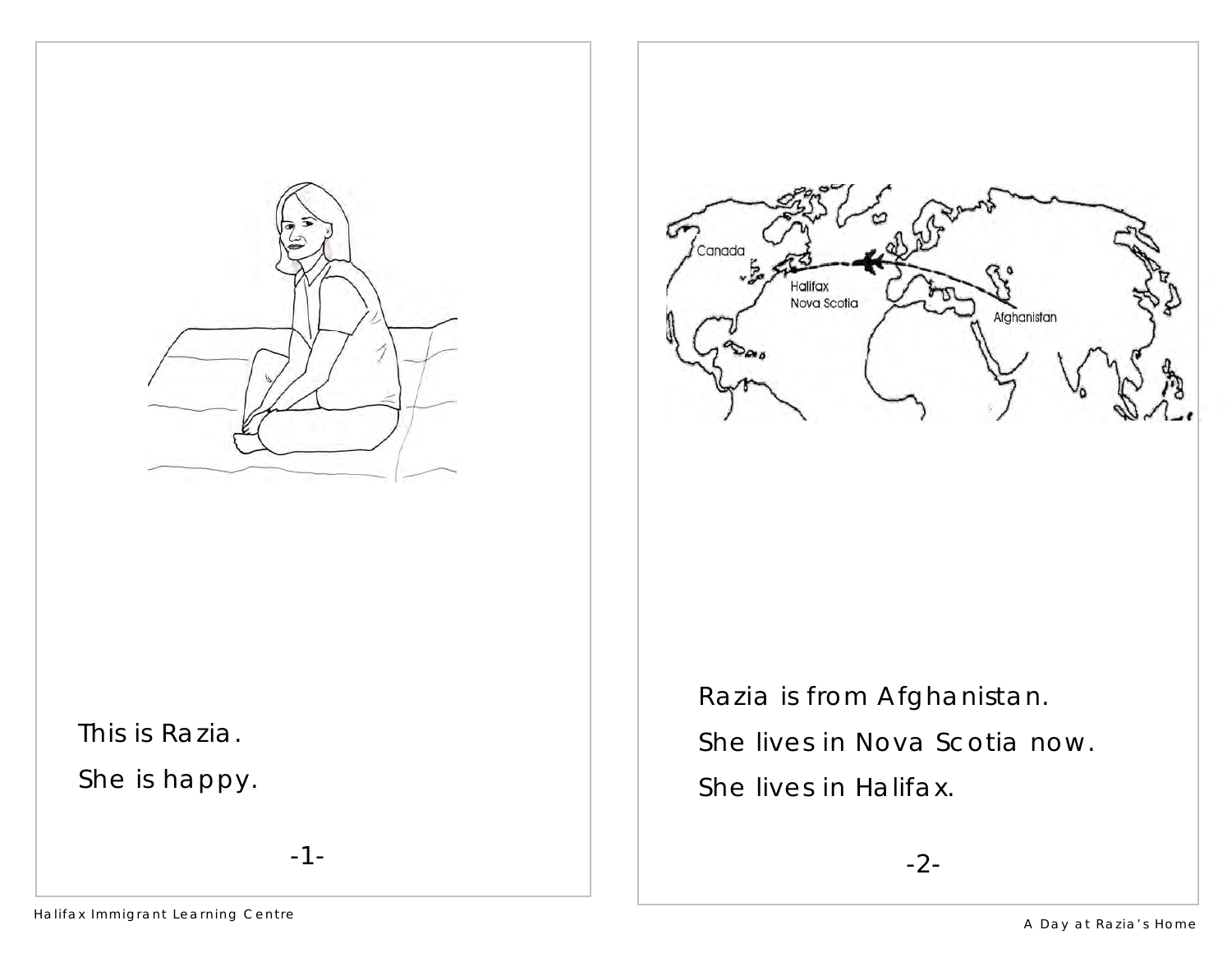

-1-

This is Razia.

She is happy.



 Razia is from Afghanistan. She lives in Nova Scotia now. She lives in Halifax.

-2-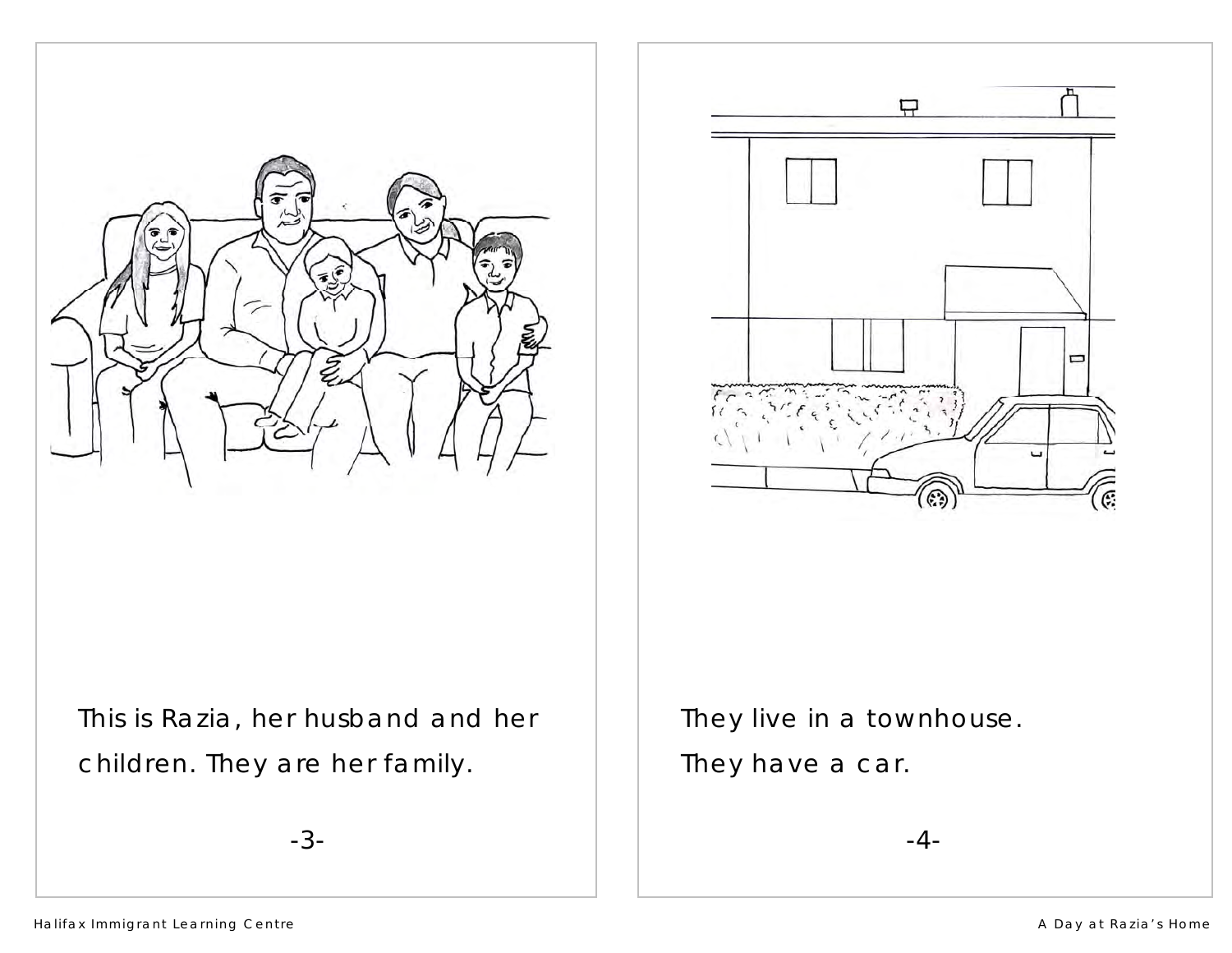



This is Razia, her husband and her children. They are her family.

-3-

 They live in a townhouse. They have a car.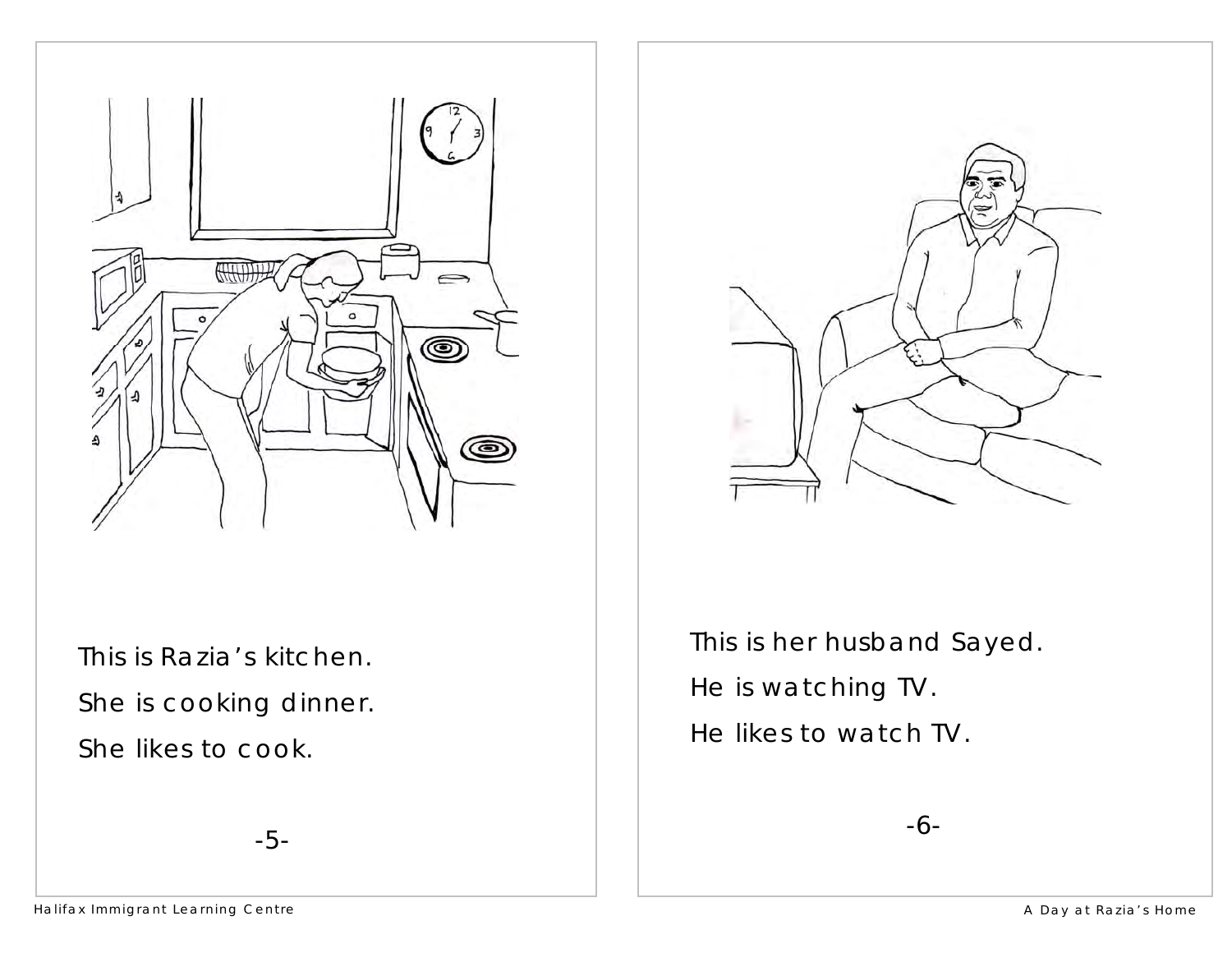

This is Razia's kitchen. She is cooking dinner. She likes to cook.



 This is her husband Sayed. He is watching TV. He likes to watch TV.

-6-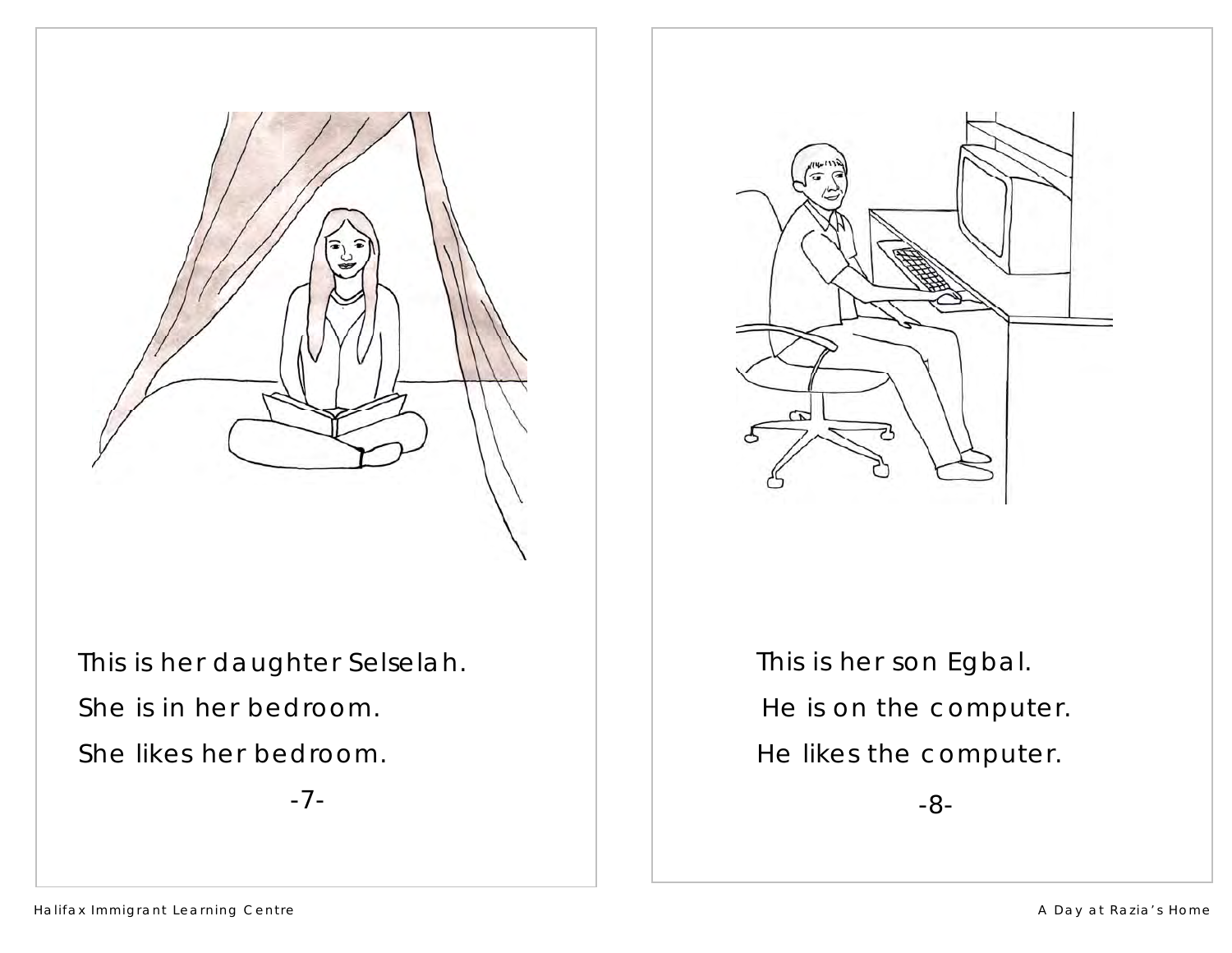

This is her daughter Selselah. She is in her bedroom. She likes her bedroom.

-7-



 This is her son Egbal. He is on the computer. He likes the computer.

-8-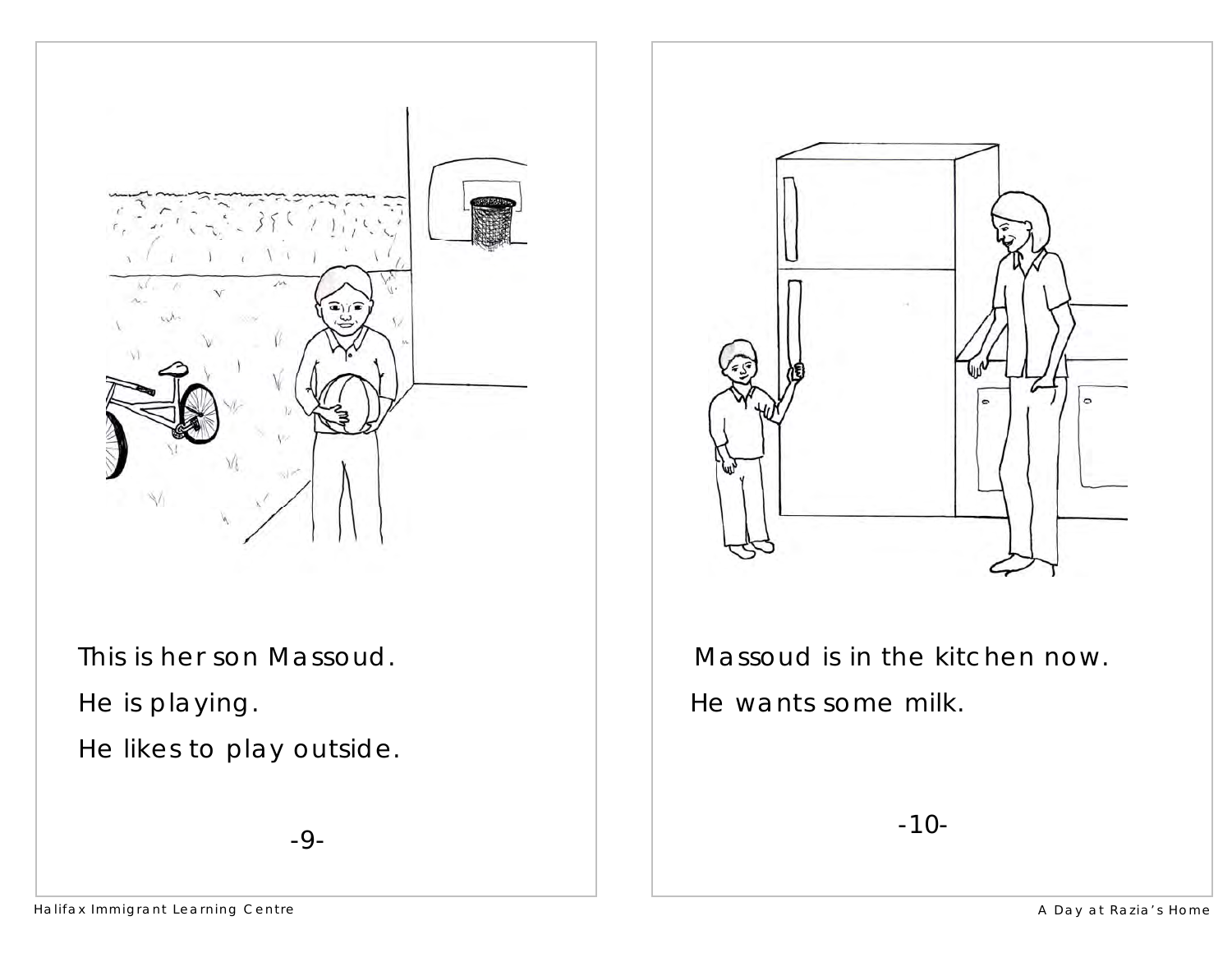

This is her son Massoud. He is playing. He likes to play outside.

-9-



Massoud is in the kitchen now. He wants some milk.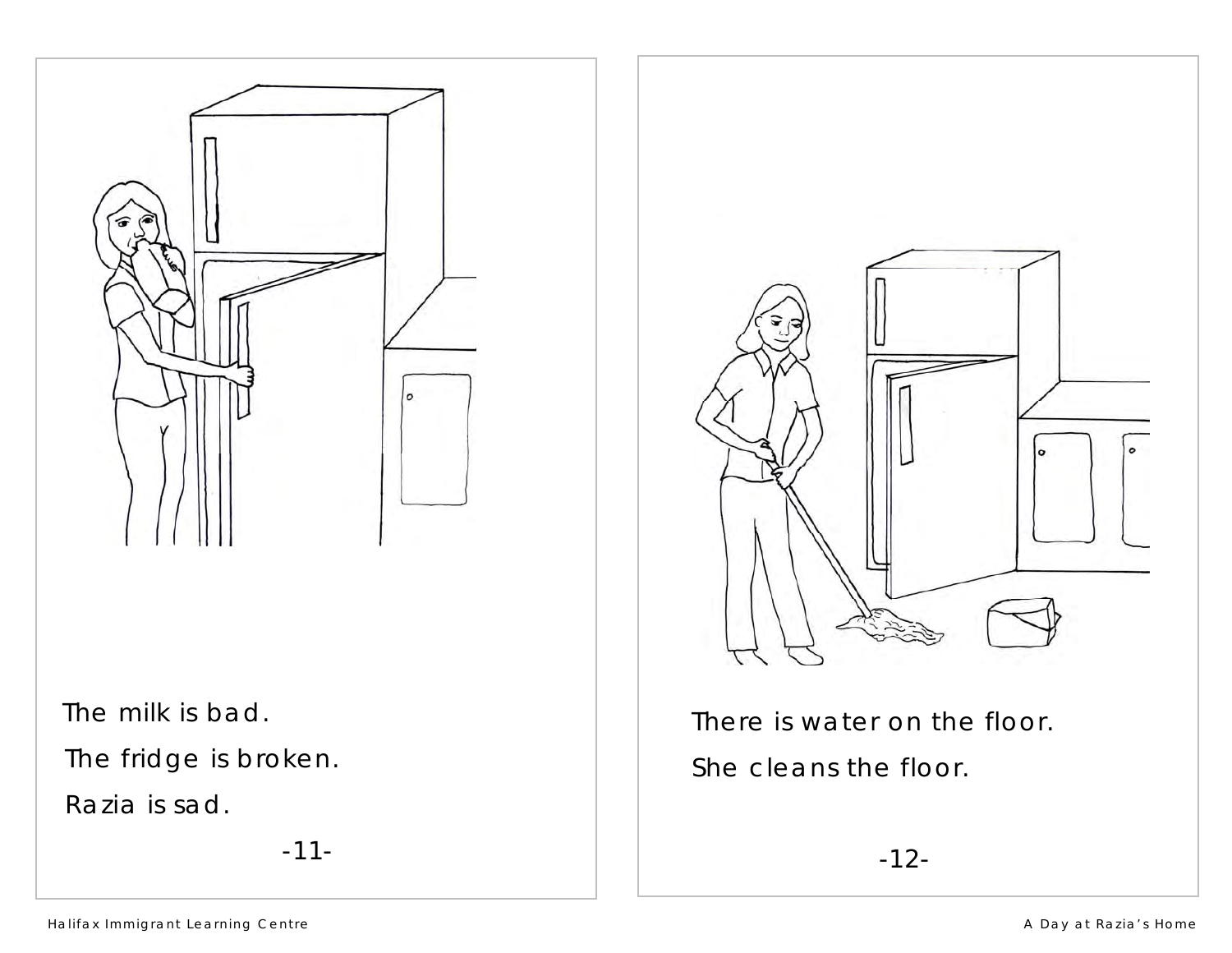

The milk is bad.

The fridge is broken.

Razia is sad.

-11-



There is water on the floor. She cleans the floor.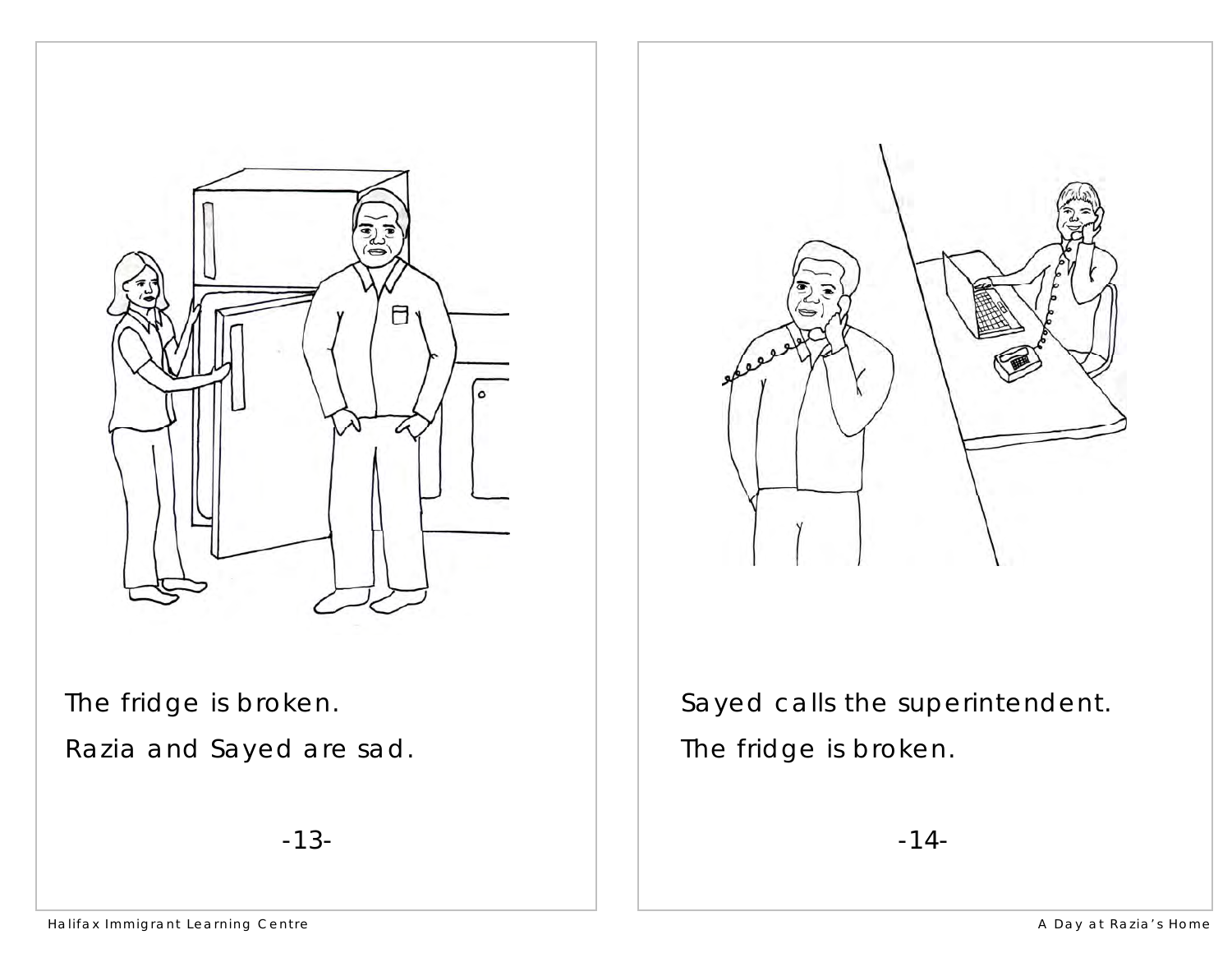



The fridge is broken.

Razia and Sayed are sad.

-13-

 Sayed calls the superintendent. The fridge is broken.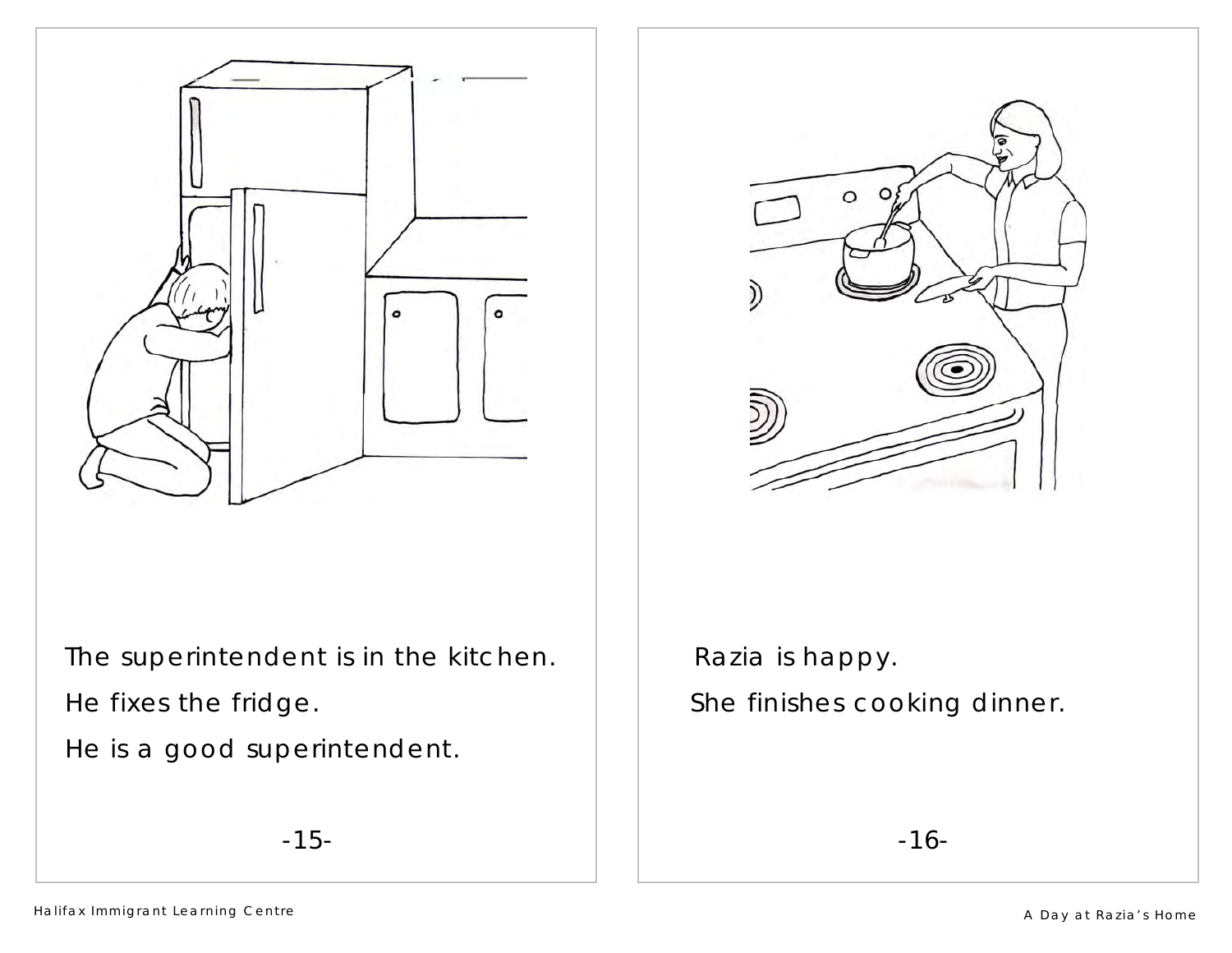

 The superintendent is in the kitchen. He fixes the fridge.

He is a good superintendent.





Razia is happy. She finishes cooking dinner.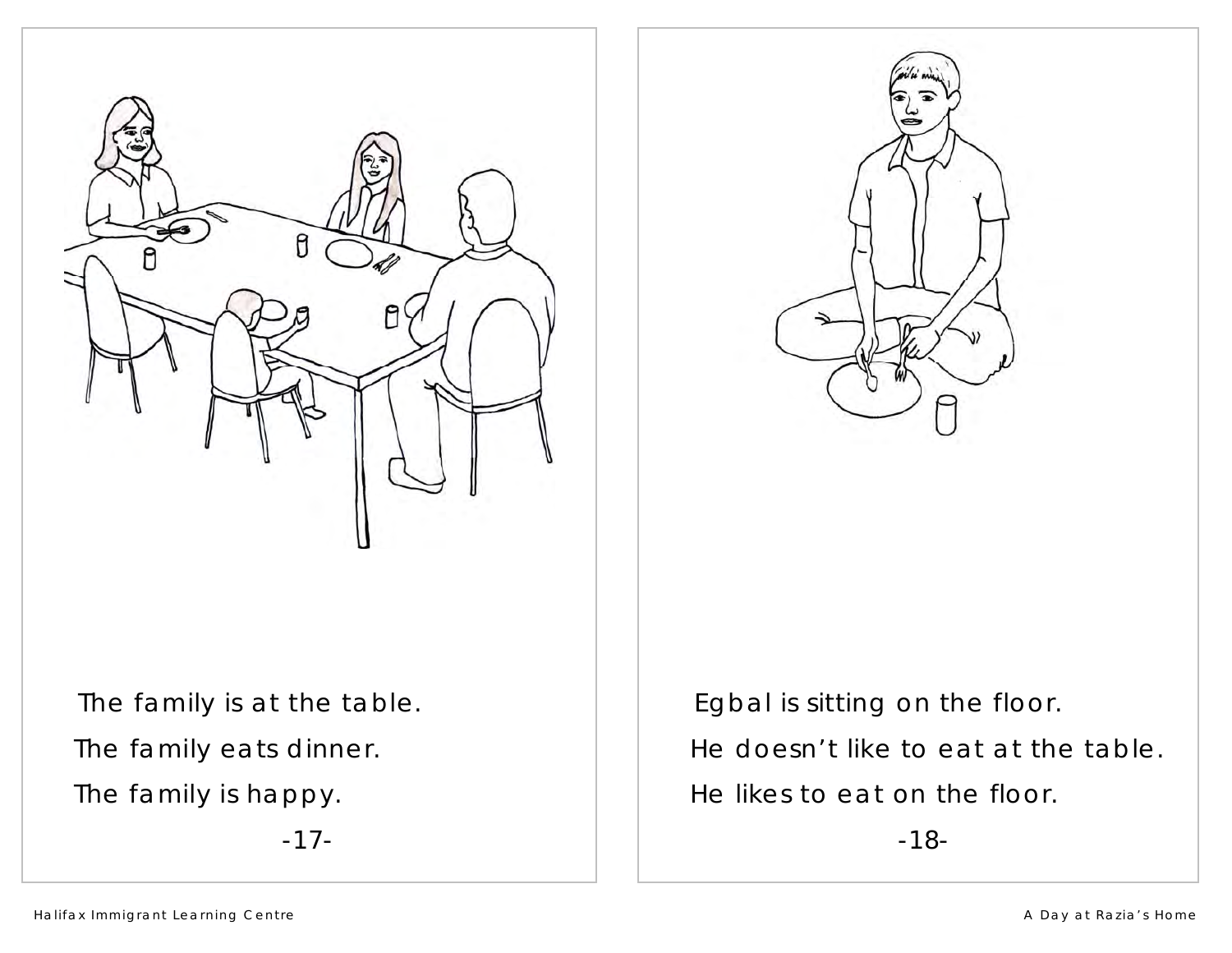



The family is at the table. The family eats dinner. The family is happy.

-17-

Egbal is sitting on the floor.

 $\Box$  He doesn't like to eat at the table.

He likes to eat on the floor.

-18-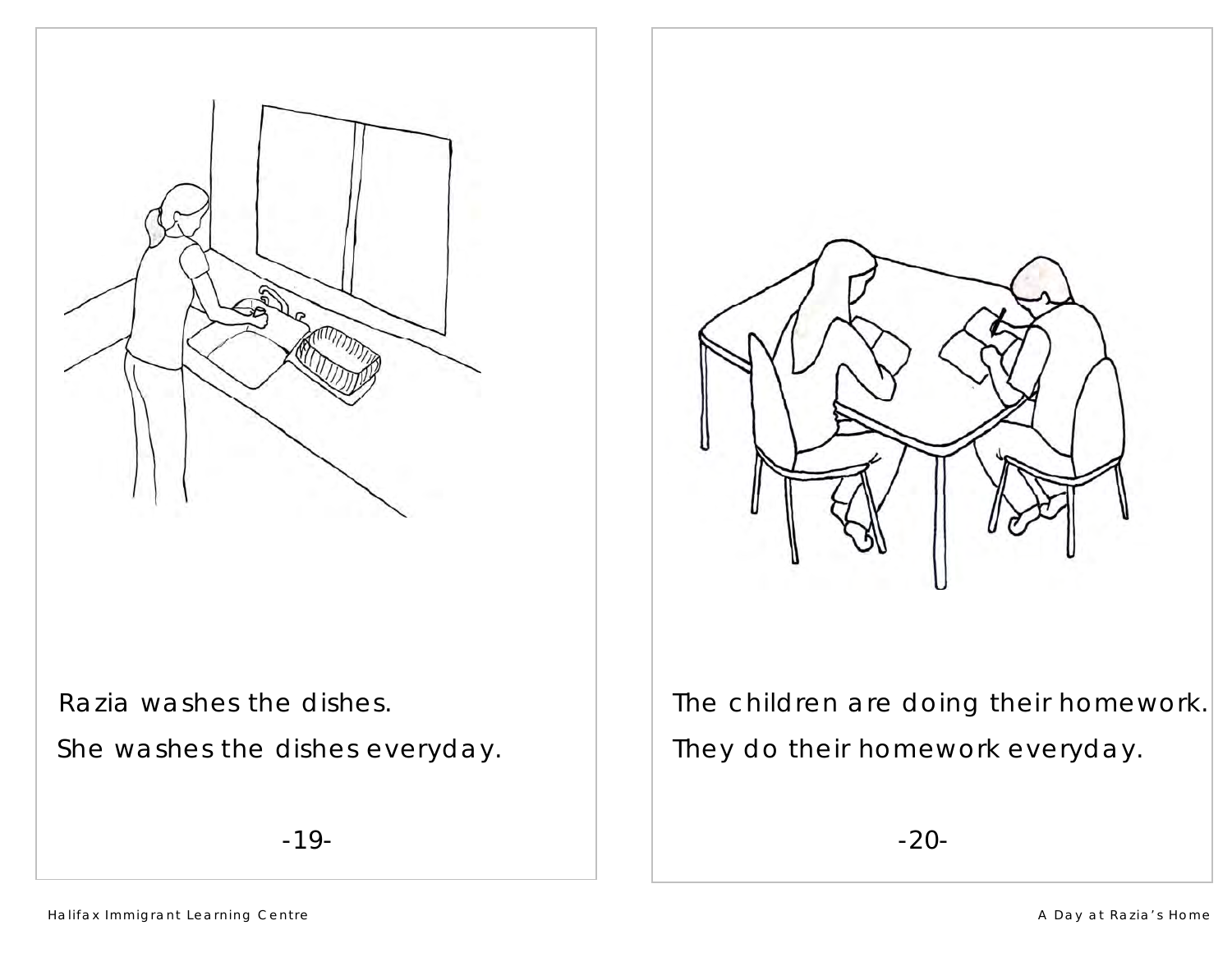

Razia washes the dishes.

She washes the dishes everyday.

-19-



 The children are doing their homework. They do their homework everyday.

-20-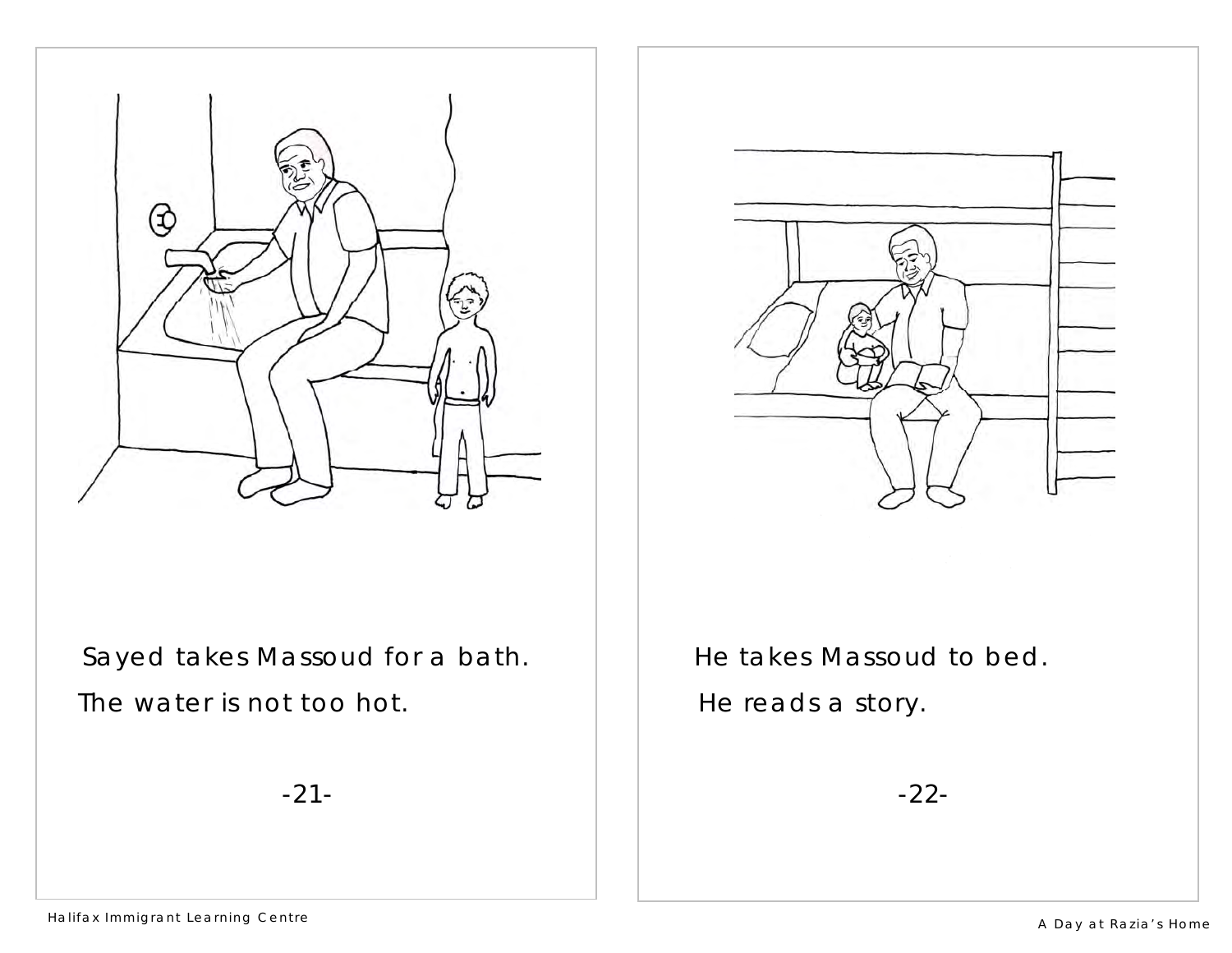

 Sayed takes Massoud for a bath.  $\parallel$  The water is not too hot.

-21-



He takes Massoud to bed. He reads a story.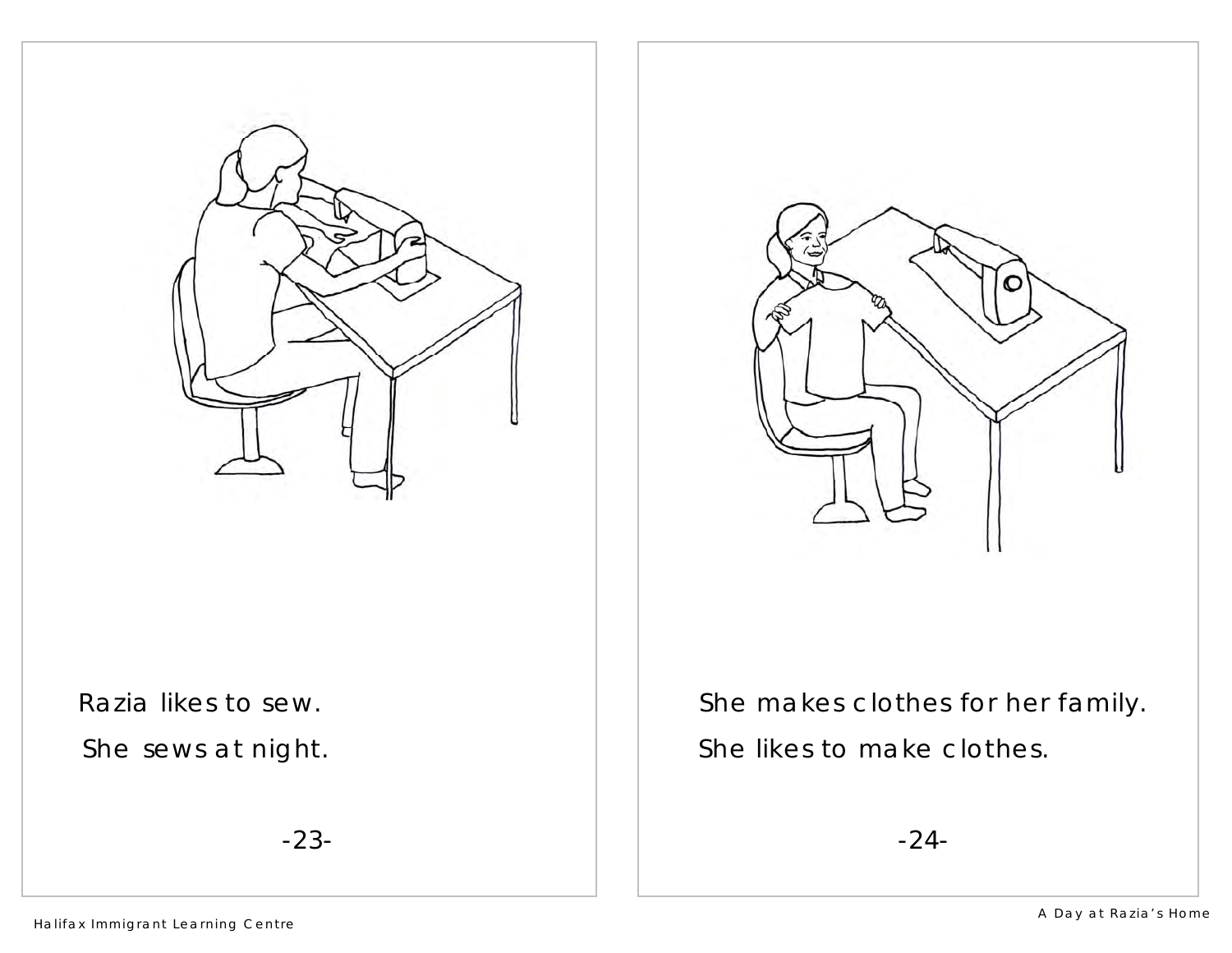

Razia likes to sew.

She sews at night.

-23-



She makes clothes for her family. She likes to make clothes.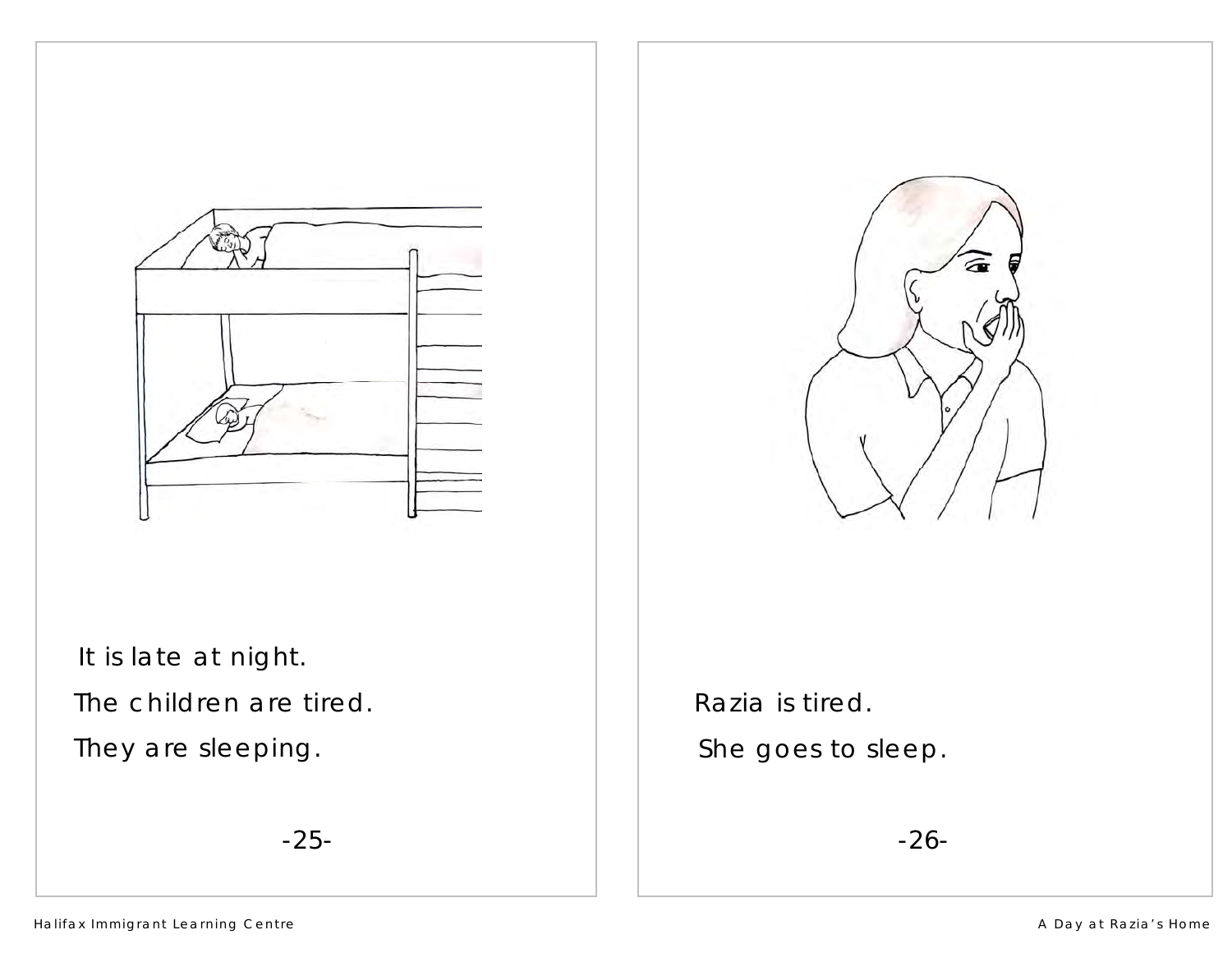

It is late at night.

 $\parallel$  The children are tired.

They are sleeping.

-25-



Razia is tired. She goes to sleep.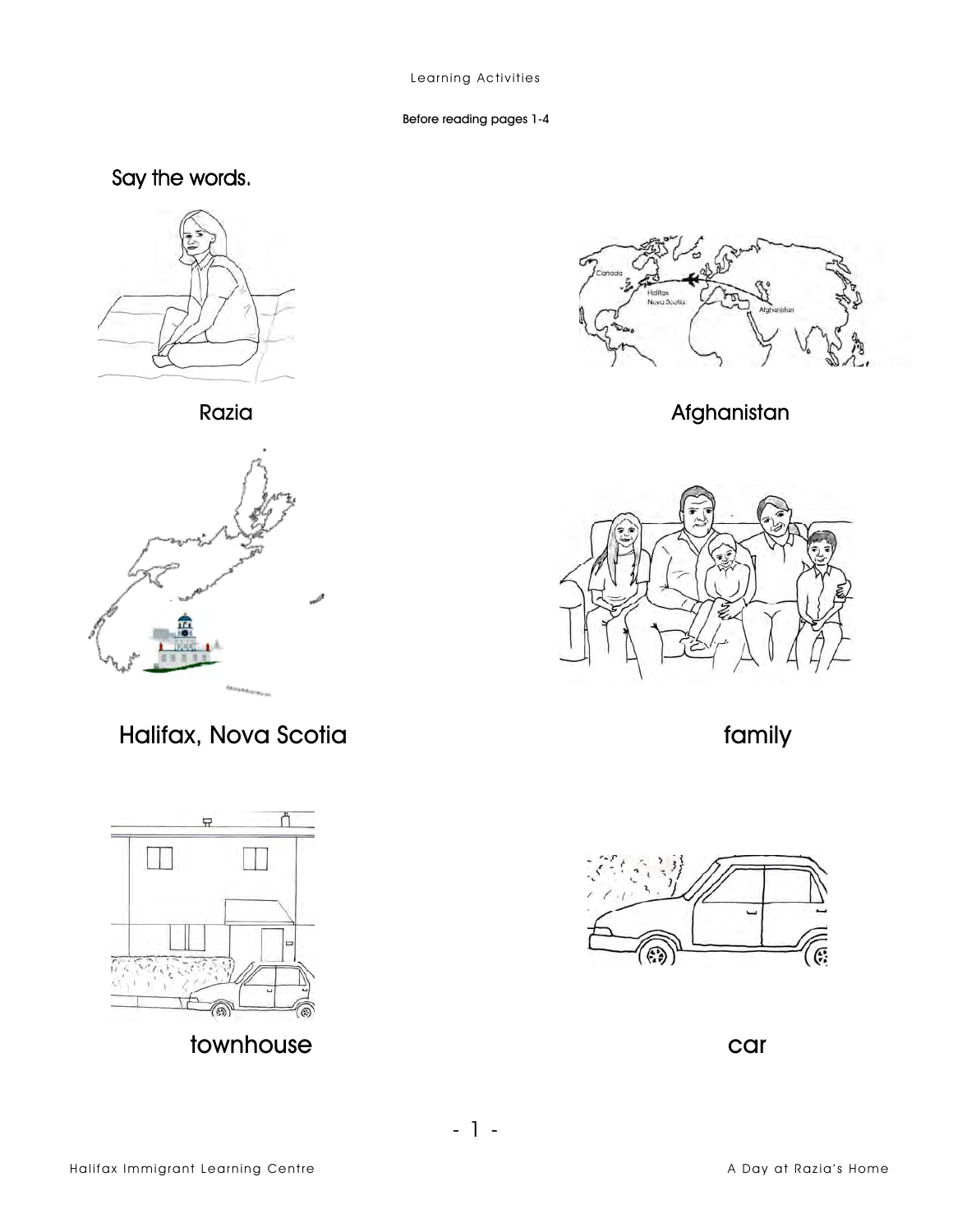Before reading pages 1-4

## Say the words.



Razia



Halifax, Nova Scotia





Afghanistan



family



car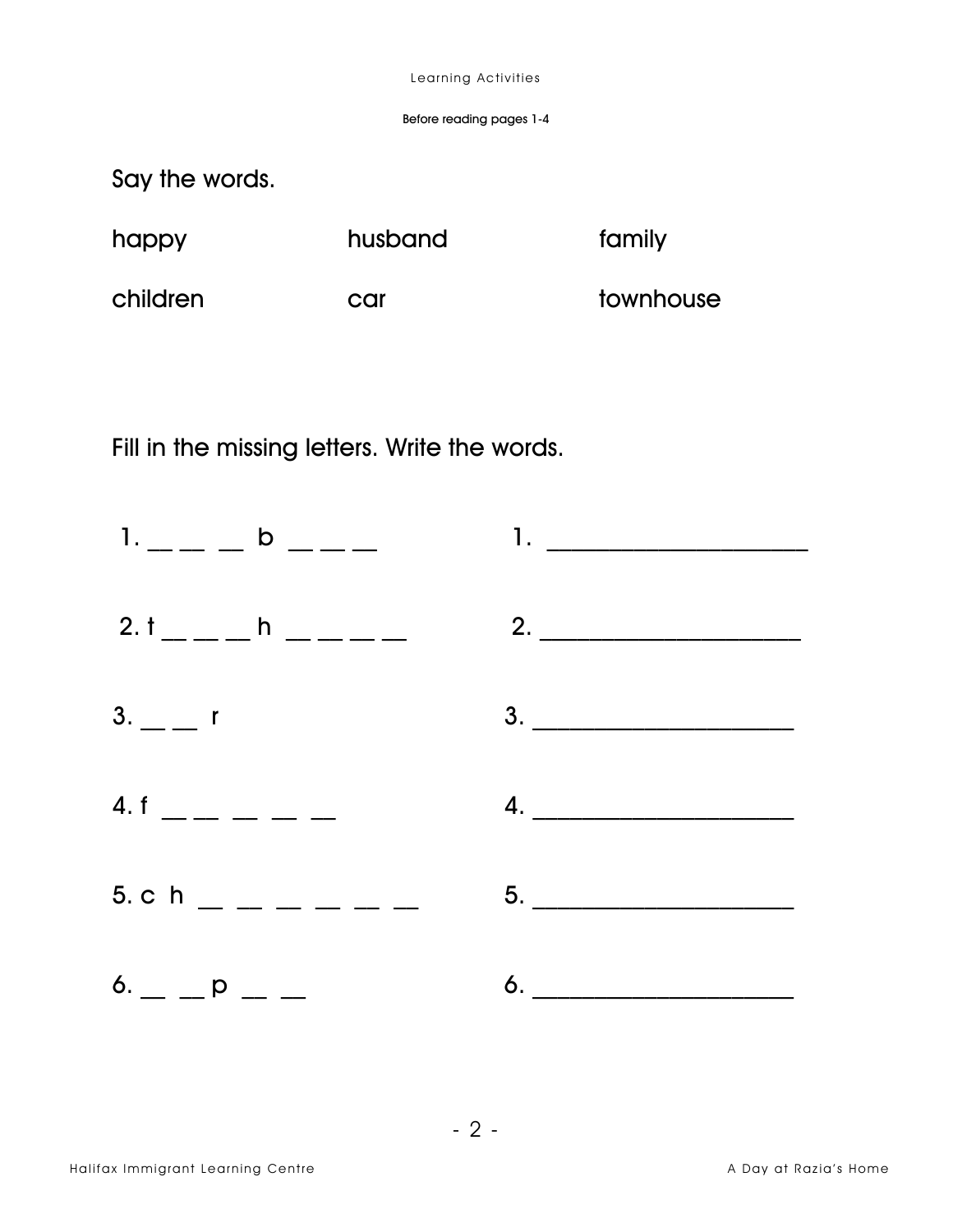Before reading pages 1-4

Say the words.

| happy    | husband | family    |
|----------|---------|-----------|
| children | car     | townhouse |

Fill in the missing letters. Write the words.

|                                                                    | $1.$ $\qquad \qquad$ $\qquad \qquad$ $\qquad \qquad$ $1.$ $\qquad \qquad$ $\qquad \qquad$ $\qquad \qquad$ $\qquad \qquad$ $\qquad \qquad$ $\qquad \qquad$ $\qquad \qquad$ $\qquad \qquad$ $\qquad \qquad$ $\qquad \qquad$ $\qquad$ $\qquad$ $\qquad$ $\qquad$ $\qquad$ $\qquad$ $\qquad$ $\qquad$ $\qquad$ $\qquad$ $\qquad$ $\qquad$ $\qquad$ $\qquad$ $\qquad$ $\qquad$ |
|--------------------------------------------------------------------|---------------------------------------------------------------------------------------------------------------------------------------------------------------------------------------------------------------------------------------------------------------------------------------------------------------------------------------------------------------------------|
|                                                                    |                                                                                                                                                                                                                                                                                                                                                                           |
| $3. -1$                                                            | $\begin{array}{c}\n3. \quad \textcolor{blue}{\textbf{2.3}}\n\end{array}$                                                                                                                                                                                                                                                                                                  |
| 4. f $\frac{1}{2}$ - $\frac{1}{2}$ - $\frac{1}{2}$ - $\frac{1}{2}$ | 4.                                                                                                                                                                                                                                                                                                                                                                        |
| 5. c h $\_$ $\_$ $\_$ $\_$ $\_$                                    |                                                                                                                                                                                                                                                                                                                                                                           |
| $6.$ _ _ _ p _ _                                                   |                                                                                                                                                                                                                                                                                                                                                                           |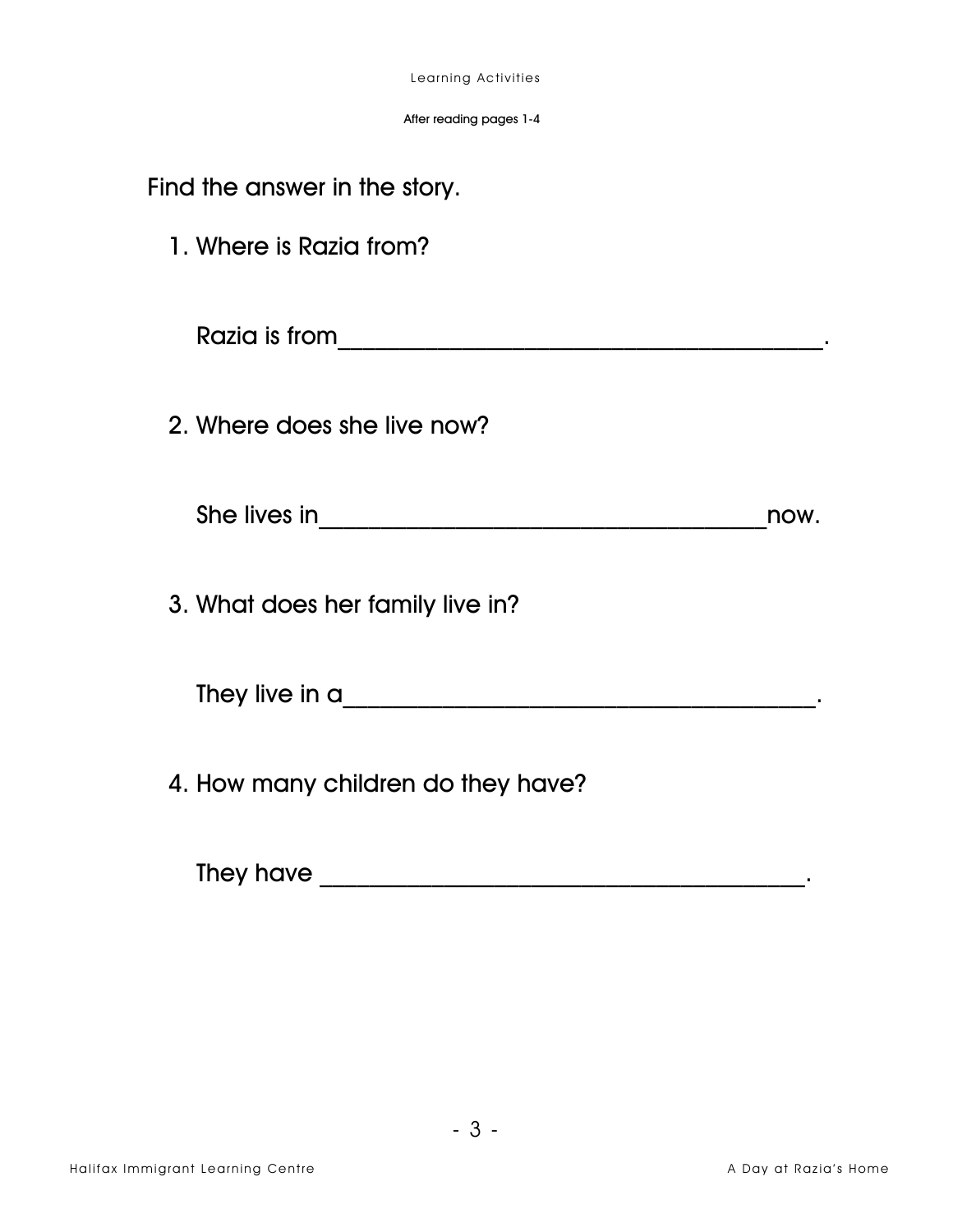| Learning Activities |
|---------------------|
|                     |

After reading pages 1-4

| Find the answer in the story.      |      |
|------------------------------------|------|
| 1. Where is Razia from?            |      |
|                                    |      |
| 2. Where does she live now?        |      |
|                                    | now. |
| 3. What does her family live in?   |      |
| They live in a                     |      |
| 4. How many children do they have? |      |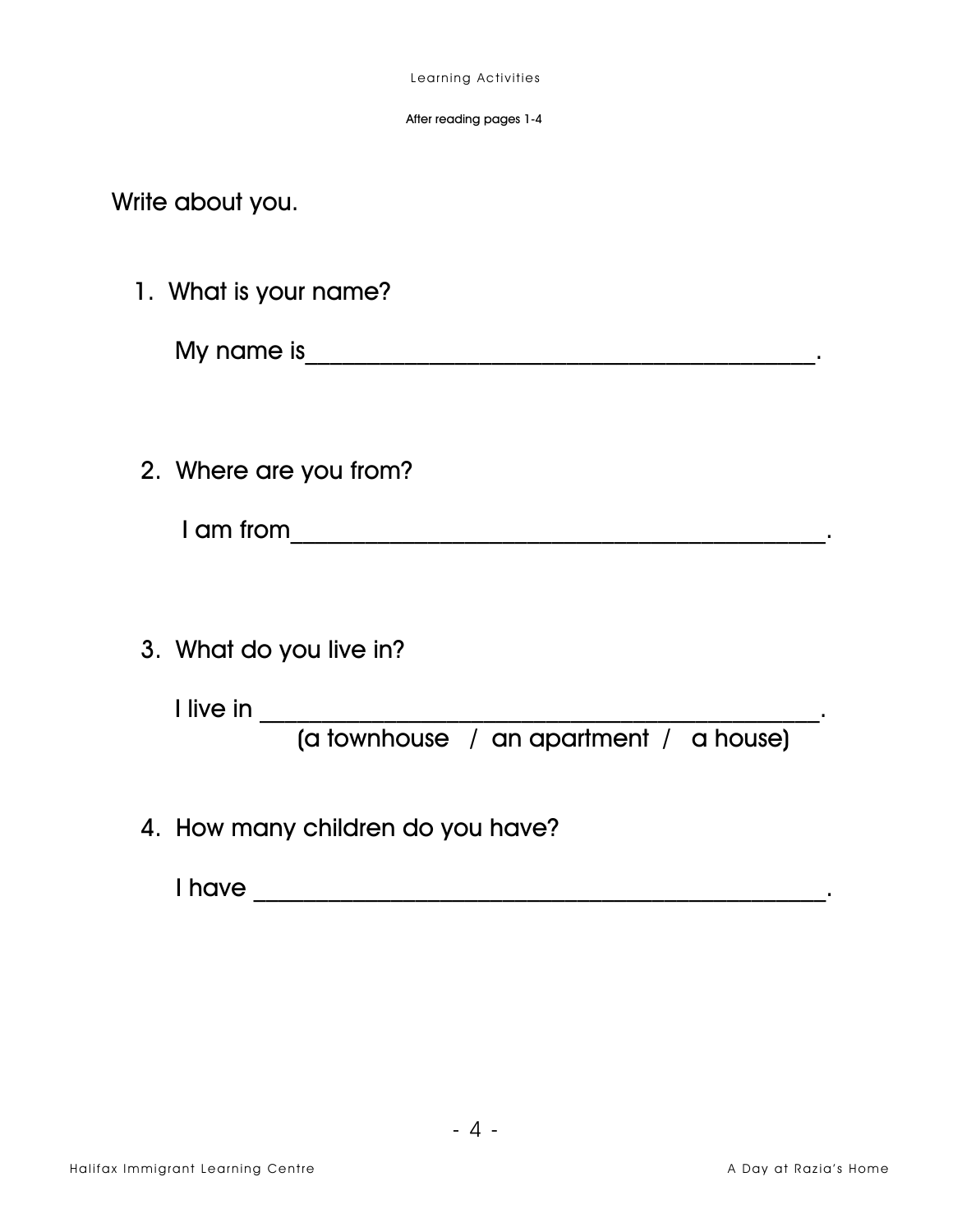After reading pages 1-4

Write about you.

1. What is your name?

2. Where are you from?

3. What do you live in?

4. How many children do you have?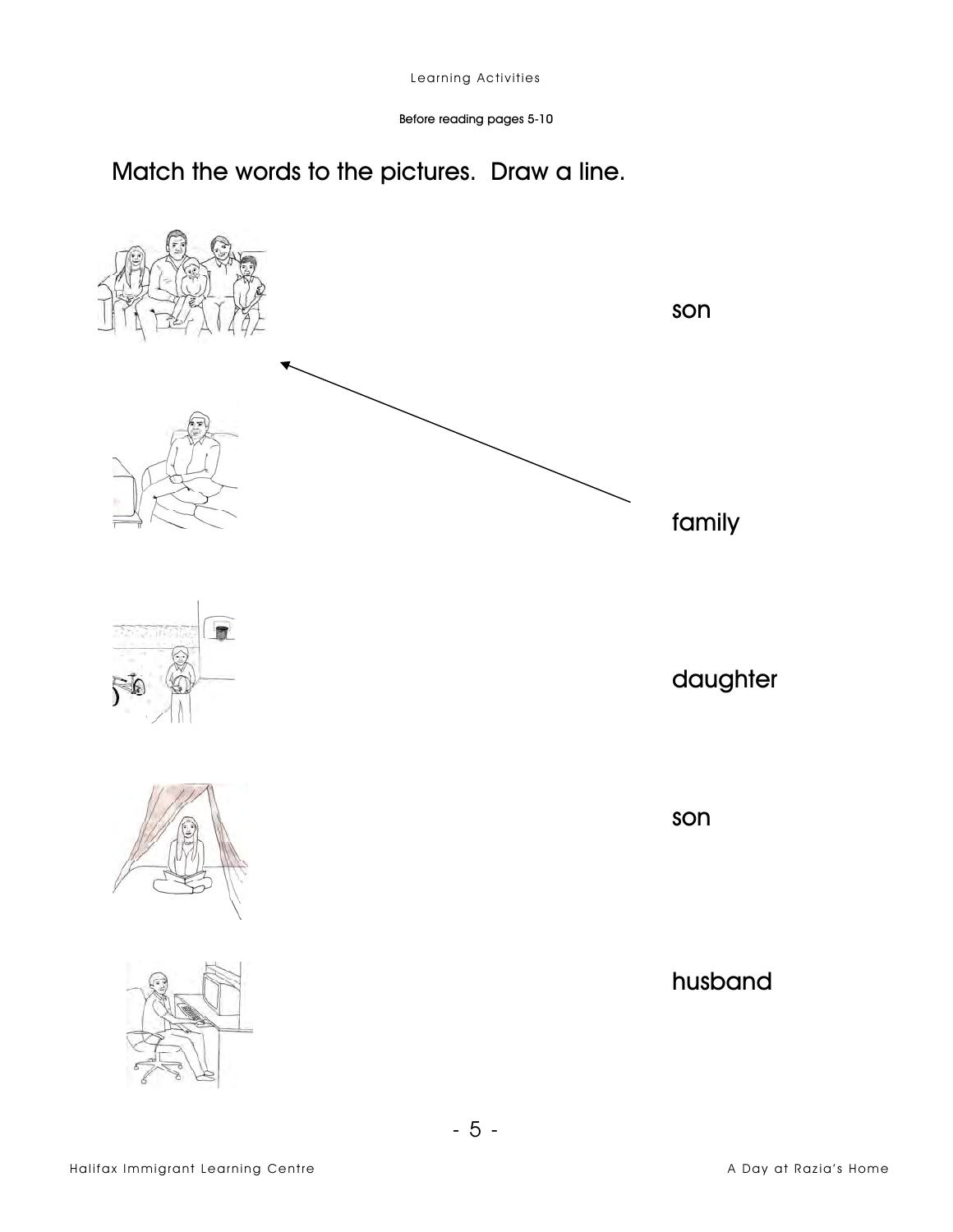Before reading pages 5-10

## Match the words to the pictures. Draw a line.

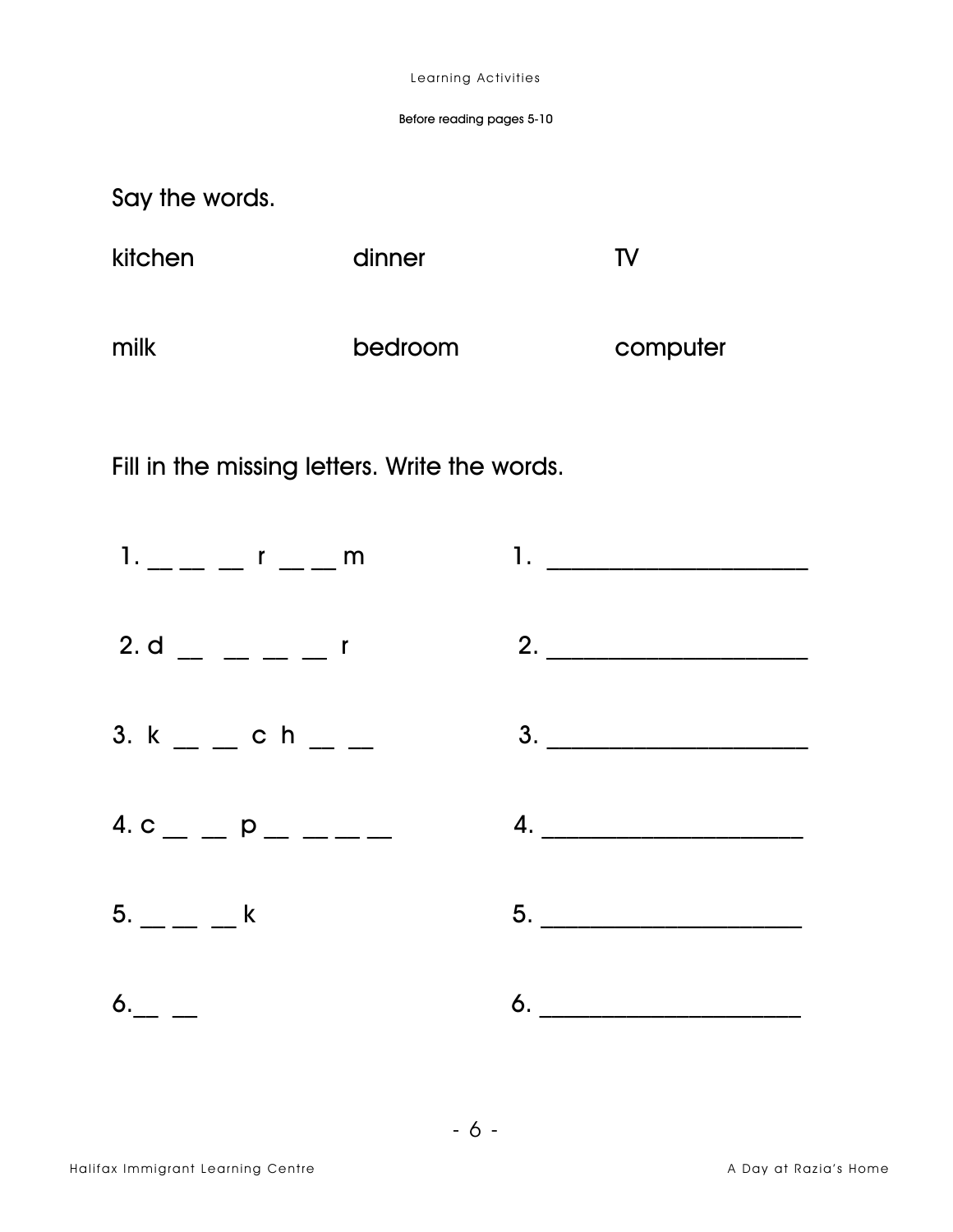Say the words.

| kitchen | dinner  | TV       |
|---------|---------|----------|
| milk    | bedroom | computer |

Fill in the missing letters. Write the words.

| $1. - - -1 - m$  |                                              |
|------------------|----------------------------------------------|
|                  | $2. d$ $\qquad \qquad$ $ \qquad \qquad$ $2.$ |
| 3. $k =$ $    -$ | 3.                                           |
|                  | $4. c$ $\qquad p$ $\qquad  \qquad 4.$        |
| $5. - - -$       |                                              |
|                  |                                              |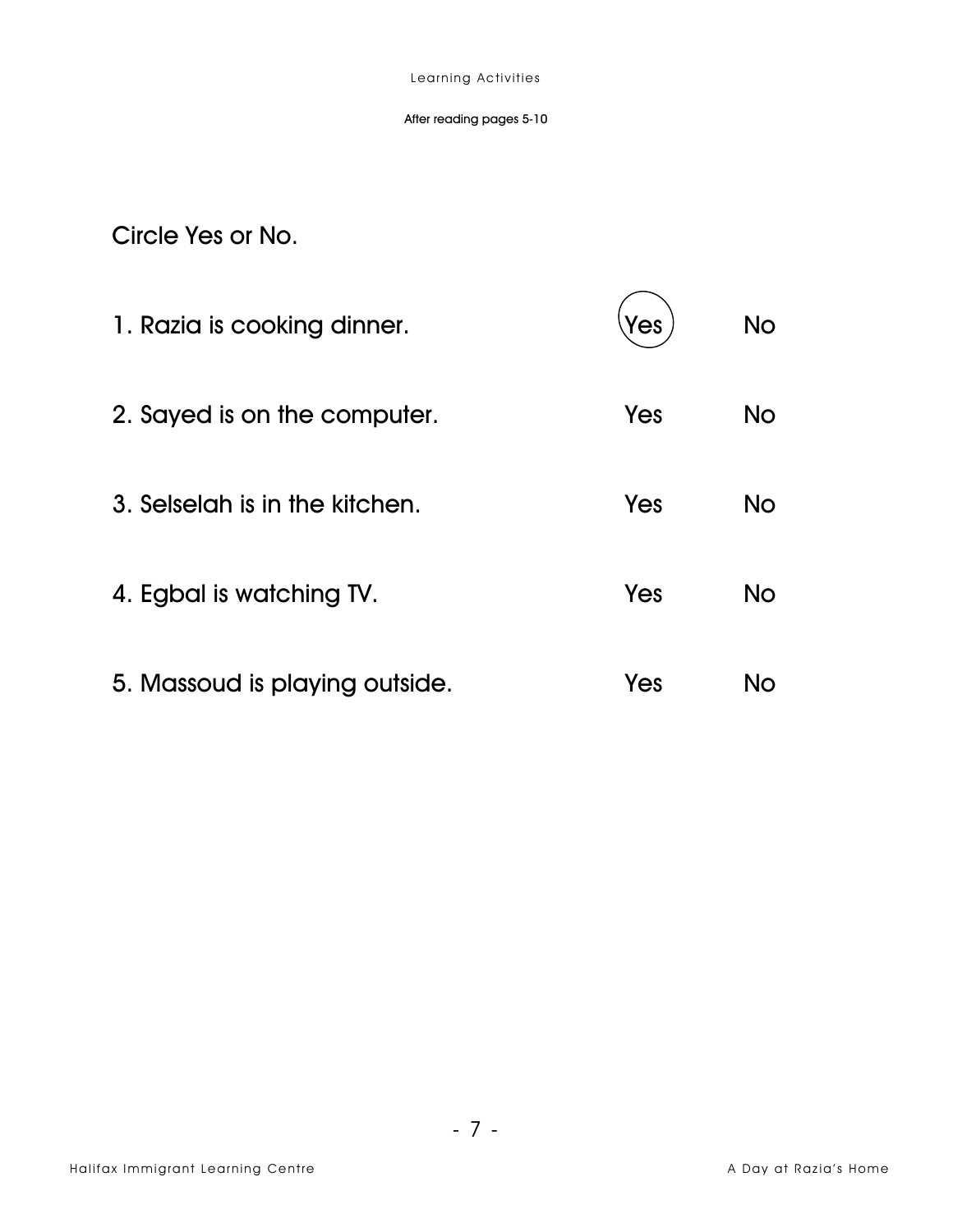#### After reading pages 5-10

Circle Yes or No.

| 1. Razia is cooking dinner.    | 'es | <b>No</b> |
|--------------------------------|-----|-----------|
| 2. Sayed is on the computer.   | Yes | No        |
| 3. Selselah is in the kitchen. | Yes | No        |
| 4. Egbal is watching TV.       | Yes | No        |
| 5. Massoud is playing outside. | Yes | No        |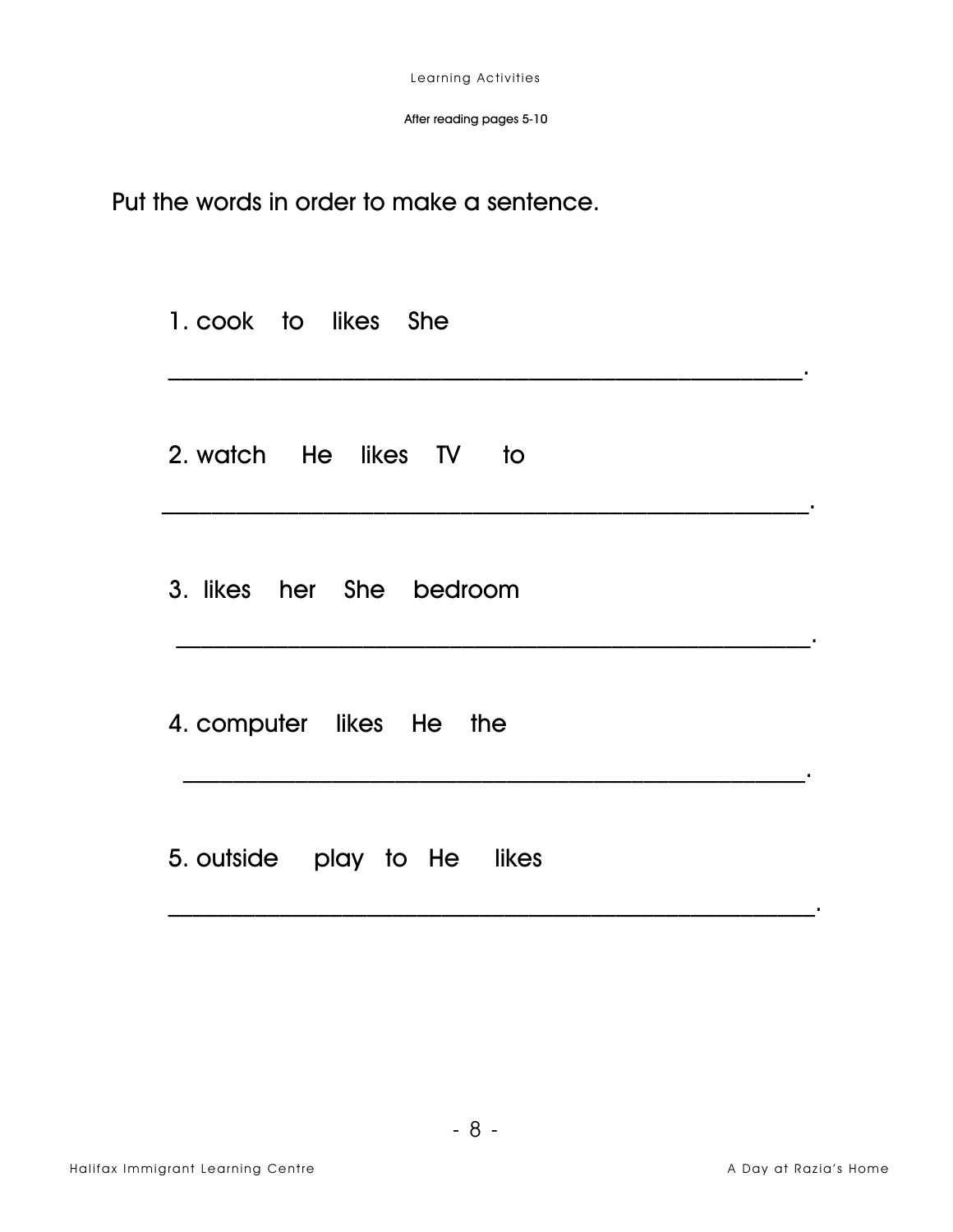Put the words in order to make a sentence.

| 1. cook to likes She        |  |
|-----------------------------|--|
| 2. watch He likes TV to     |  |
| 3. likes her She bedroom    |  |
| 4. computer likes He the    |  |
| 5. outside play to He likes |  |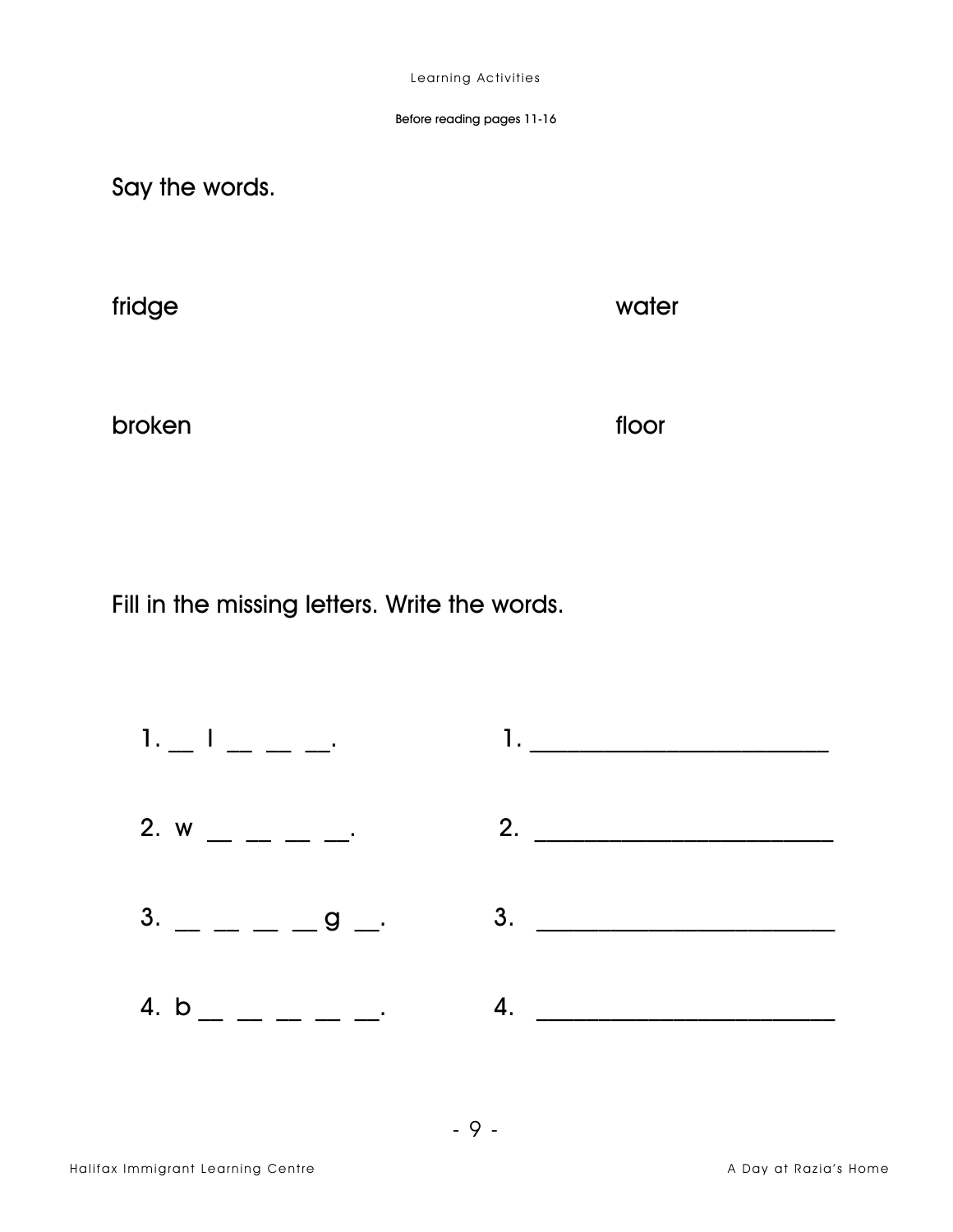Say the words.

fridge

water

broken

floor

Fill in the missing letters. Write the words.

|                                                          | $\frac{1}{2}$ |
|----------------------------------------------------------|---------------|
| 2. w __ _ _ _ _ $\cdot$ 2. ___                           |               |
| $3.$ $\qquad \qquad  \qquad \qquad 9$ $\qquad \qquad 3.$ |               |
| 4. b _ _ _ _ _ _ _                                       | 4.            |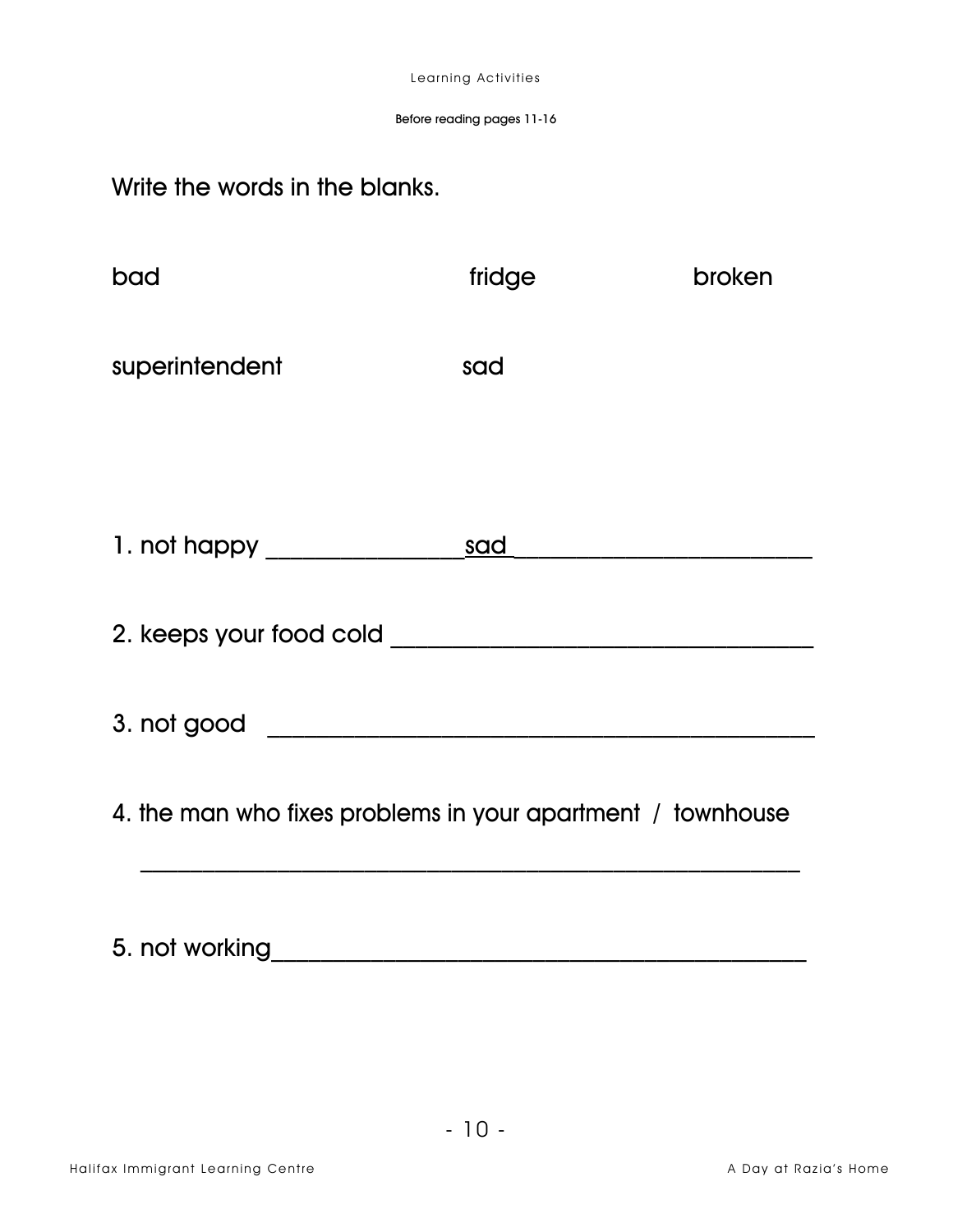#### Before reading pages 11-16

## Write the words in the blanks.

| bad                                                         | fridge | broken |
|-------------------------------------------------------------|--------|--------|
| superintendent                                              | sad    |        |
|                                                             |        |        |
|                                                             |        |        |
|                                                             |        |        |
|                                                             |        |        |
| 4. the man who fixes problems in your apartment / townhouse |        |        |
|                                                             |        |        |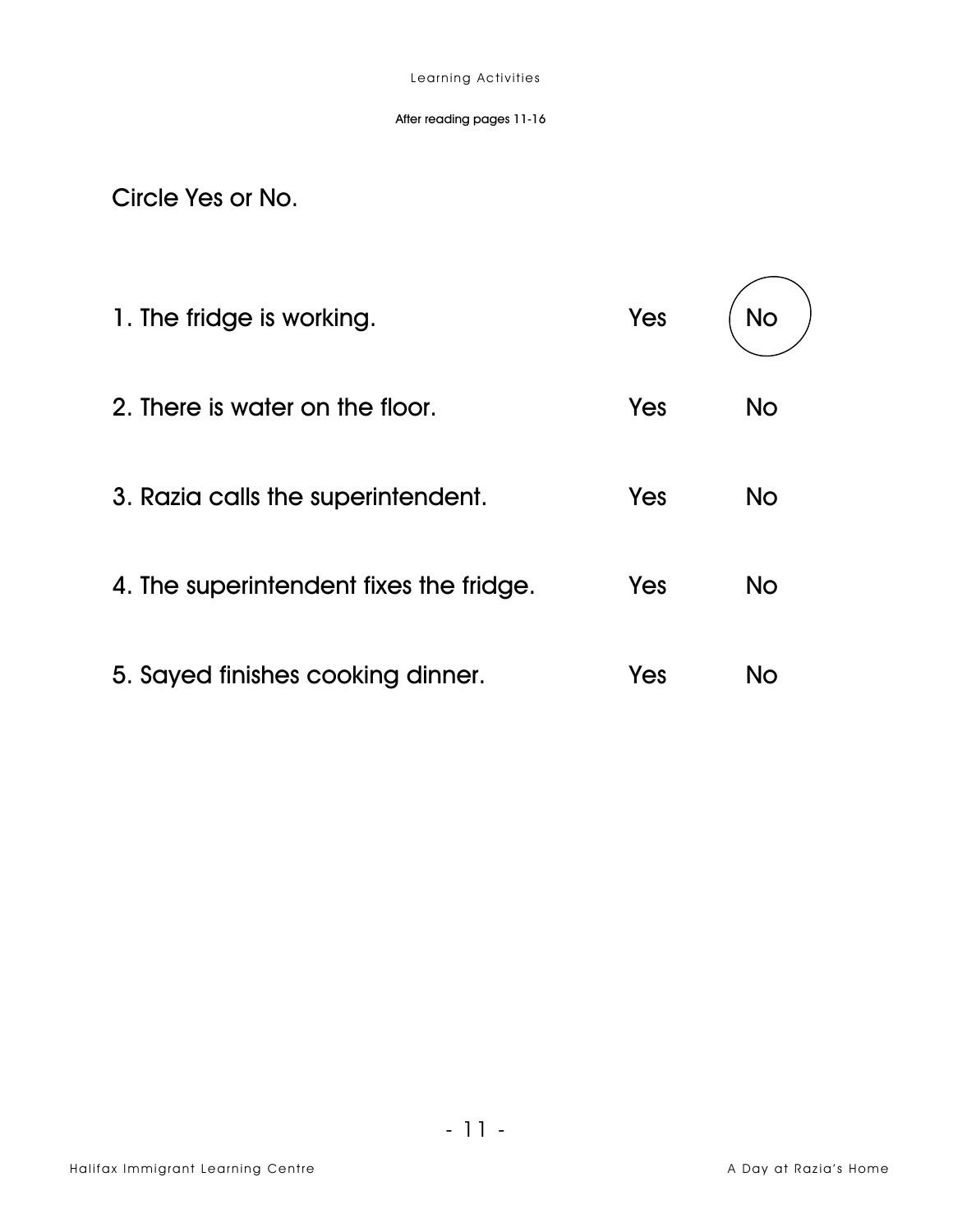Circle Yes or No.

| 1. The fridge is working.               | Yes | No        |
|-----------------------------------------|-----|-----------|
| 2. There is water on the floor.         | Yes | <b>No</b> |
| 3. Razia calls the superintendent.      | Yes | <b>No</b> |
| 4. The superintendent fixes the fridge. | Yes | <b>No</b> |
| 5. Sayed finishes cooking dinner.       | Yes | No        |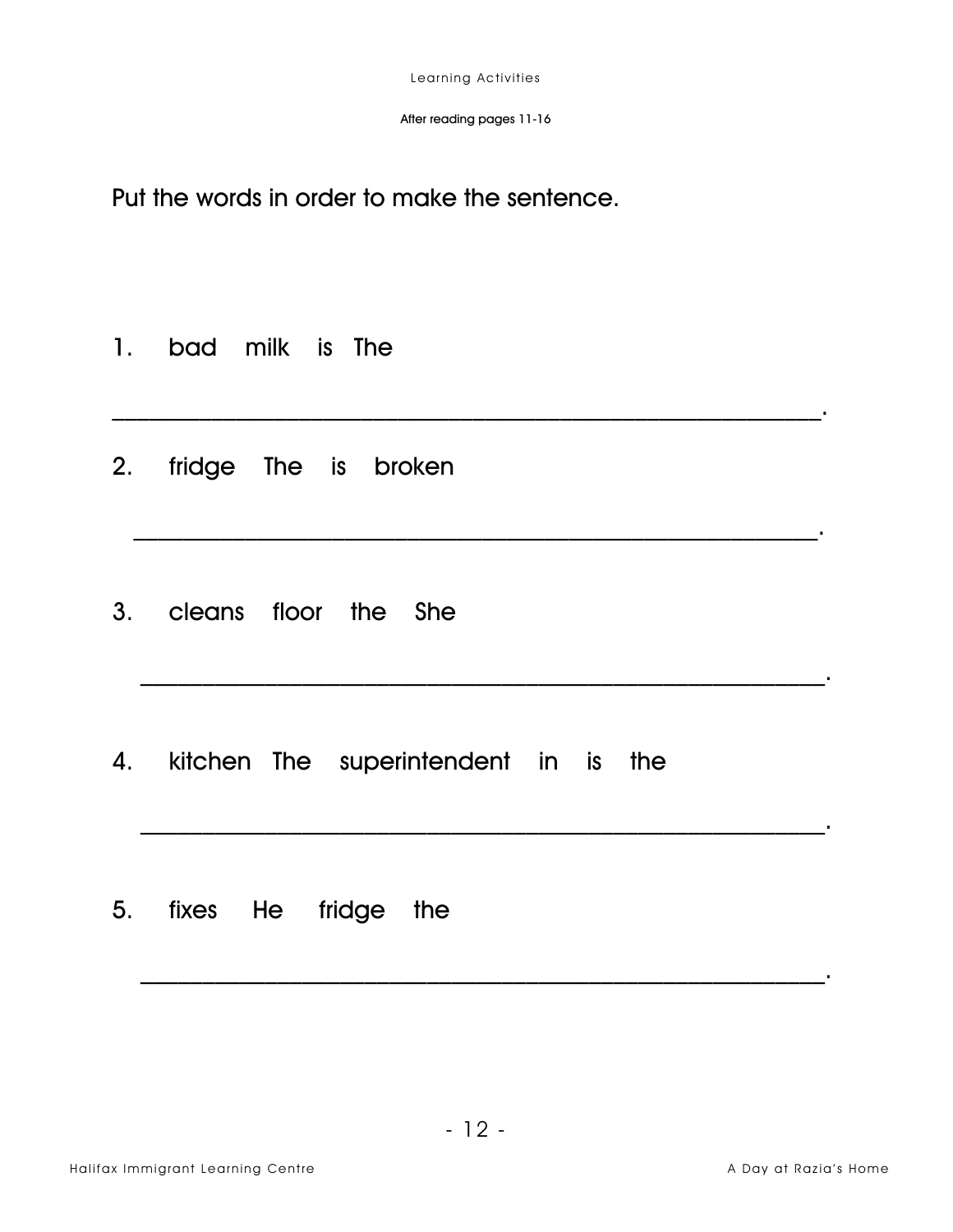$\mathcal{L}_\text{max}$  and  $\mathcal{L}_\text{max}$  and  $\mathcal{L}_\text{max}$  and  $\mathcal{L}_\text{max}$  and  $\mathcal{L}_\text{max}$  and  $\mathcal{L}_\text{max}$ 

 $\mathcal{L}_\text{max}$  and  $\mathcal{L}_\text{max}$  and  $\mathcal{L}_\text{max}$  and  $\mathcal{L}_\text{max}$  and  $\mathcal{L}_\text{max}$  and  $\mathcal{L}_\text{max}$ 

Put the words in order to make the sentence.

- 1. bad milk is The
- 2. fridge The is broken
- 3. cleans floor the She
- 4. kitchen The superintendent in is the
- 5. fixes He fridge the

 $\mathcal{L}_\text{max} = \frac{1}{2} \sum_{i=1}^{n} \mathcal{L}_\text{max} \left[ \mathcal{L}_\text{max} \left( \mathcal{L}_\text{max} \right) \mathcal{L}_\text{max} \left( \mathcal{L}_\text{max} \right) \mathcal{L}_\text{max} \left( \mathcal{L}_\text{max} \right) \mathcal{L}_\text{max} \left( \mathcal{L}_\text{max} \left( \mathcal{L}_\text{max} \right) \mathcal{L}_\text{max} \left( \mathcal{L}_\text{max} \right) \mathcal{L}_\text{max} \left( \mathcal{L}_\text{$ 

\_\_\_\_\_\_\_\_\_\_\_\_\_\_\_\_\_\_\_\_\_\_\_\_\_\_\_\_\_\_\_\_\_\_\_\_\_\_\_\_\_\_\_\_\_\_\_\_\_\_\_\_\_\_\_.

\_\_\_\_\_\_\_\_\_\_\_\_\_\_\_\_\_\_\_\_\_\_\_\_\_\_\_\_\_\_\_\_\_\_\_\_\_\_\_\_\_\_\_\_\_\_\_\_\_\_\_\_\_\_\_.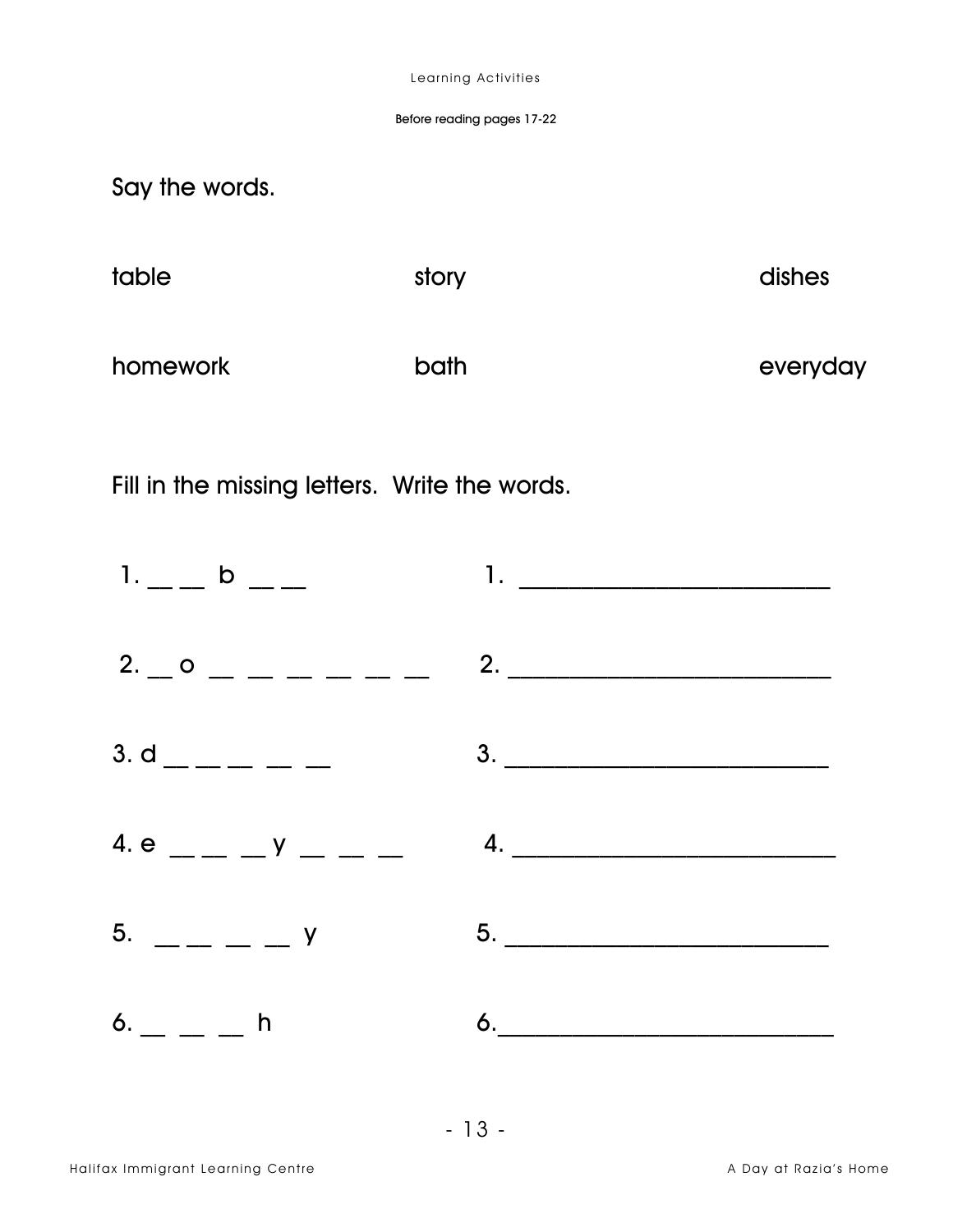#### Before reading pages 17-22

Say the words.

| table    | story | dishes   |
|----------|-------|----------|
| homework | bath  | everyday |

Fill in the missing letters. Write the words.

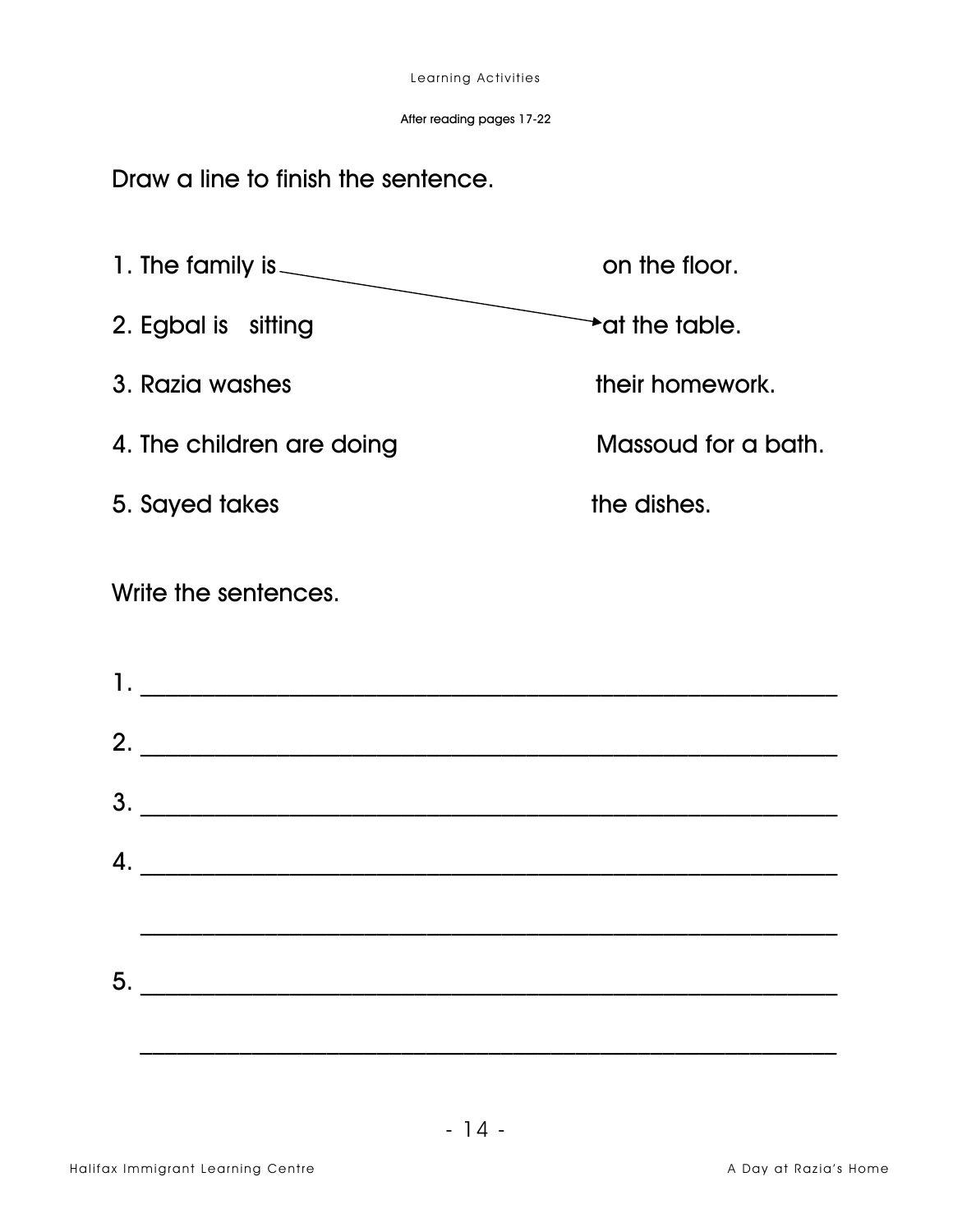After reading pages 17-22

Draw a line to finish the sentence.

1. The family is  $\overbrace{\hspace{2.5cm}}$ on the floor.  $\rightarrow$  at the table. 2. Egbal is sitting 3. Razia washes their homework. Massoud for a bath. 4. The children are doing the dishes. 5. Sayed takes Write the sentences.  $2.$   $\overline{\phantom{a}}$ 

 $5.$ 

3.

 $\mathsf{4.}\hspace{10pt}$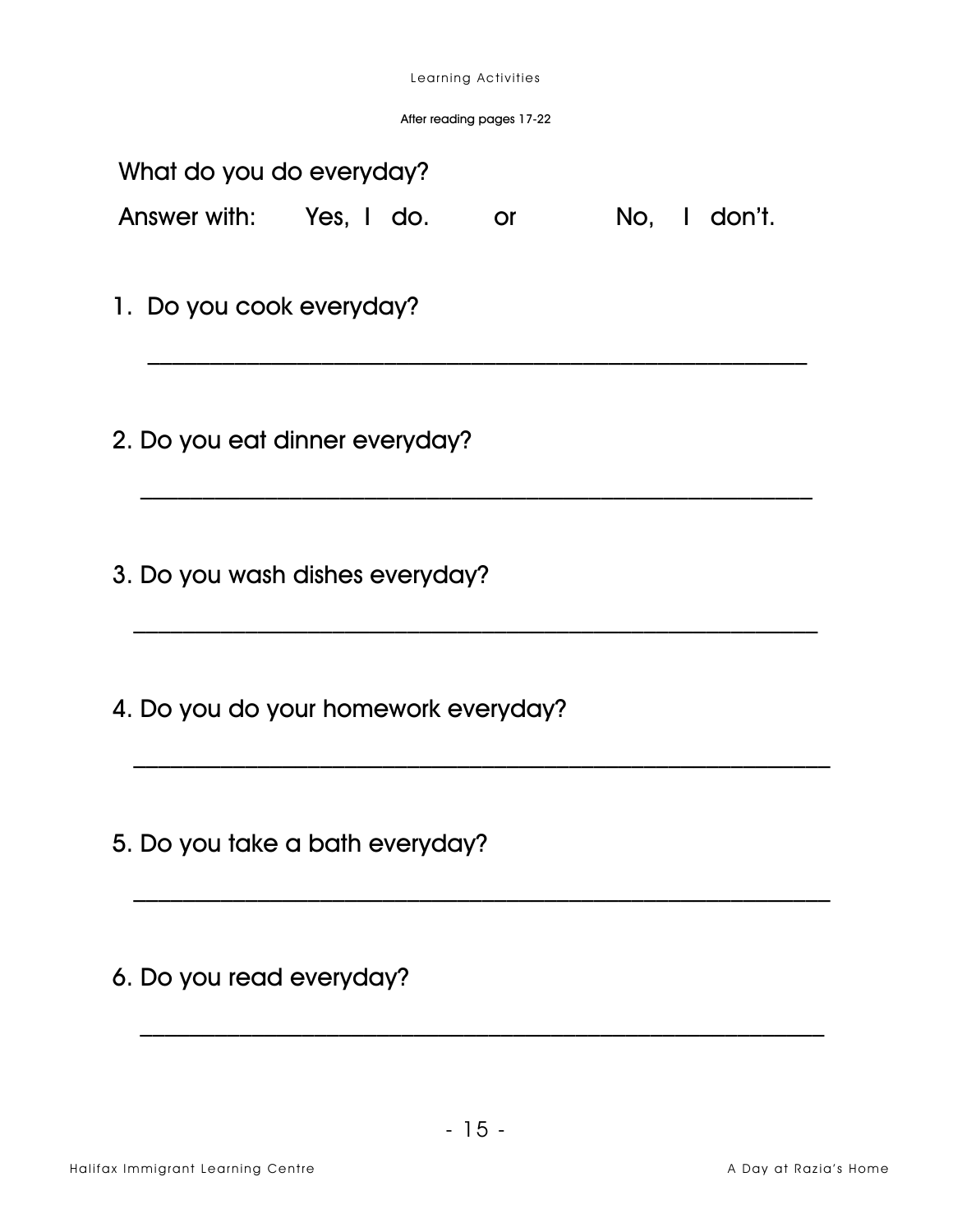After reading pages 17-22

|                                | What do you do everyday?<br>Answer with: Yes, I do. |  |  | $\mathsf{or}$ and $\mathsf{or}$ |  |  | No, I don't. |  |  |
|--------------------------------|-----------------------------------------------------|--|--|---------------------------------|--|--|--------------|--|--|
|                                | 1. Do you cook everyday?                            |  |  |                                 |  |  |              |  |  |
| 2. Do you eat dinner everyday? |                                                     |  |  |                                 |  |  |              |  |  |
|                                | 3. Do you wash dishes everyday?                     |  |  |                                 |  |  |              |  |  |
|                                | 4. Do you do your homework everyday?                |  |  |                                 |  |  |              |  |  |
|                                | 5. Do you take a bath everyday?                     |  |  |                                 |  |  |              |  |  |
|                                |                                                     |  |  |                                 |  |  |              |  |  |

6. Do you read everyday?

 $\mathcal{L}_\text{max}$  and  $\mathcal{L}_\text{max}$  and  $\mathcal{L}_\text{max}$  and  $\mathcal{L}_\text{max}$  and  $\mathcal{L}_\text{max}$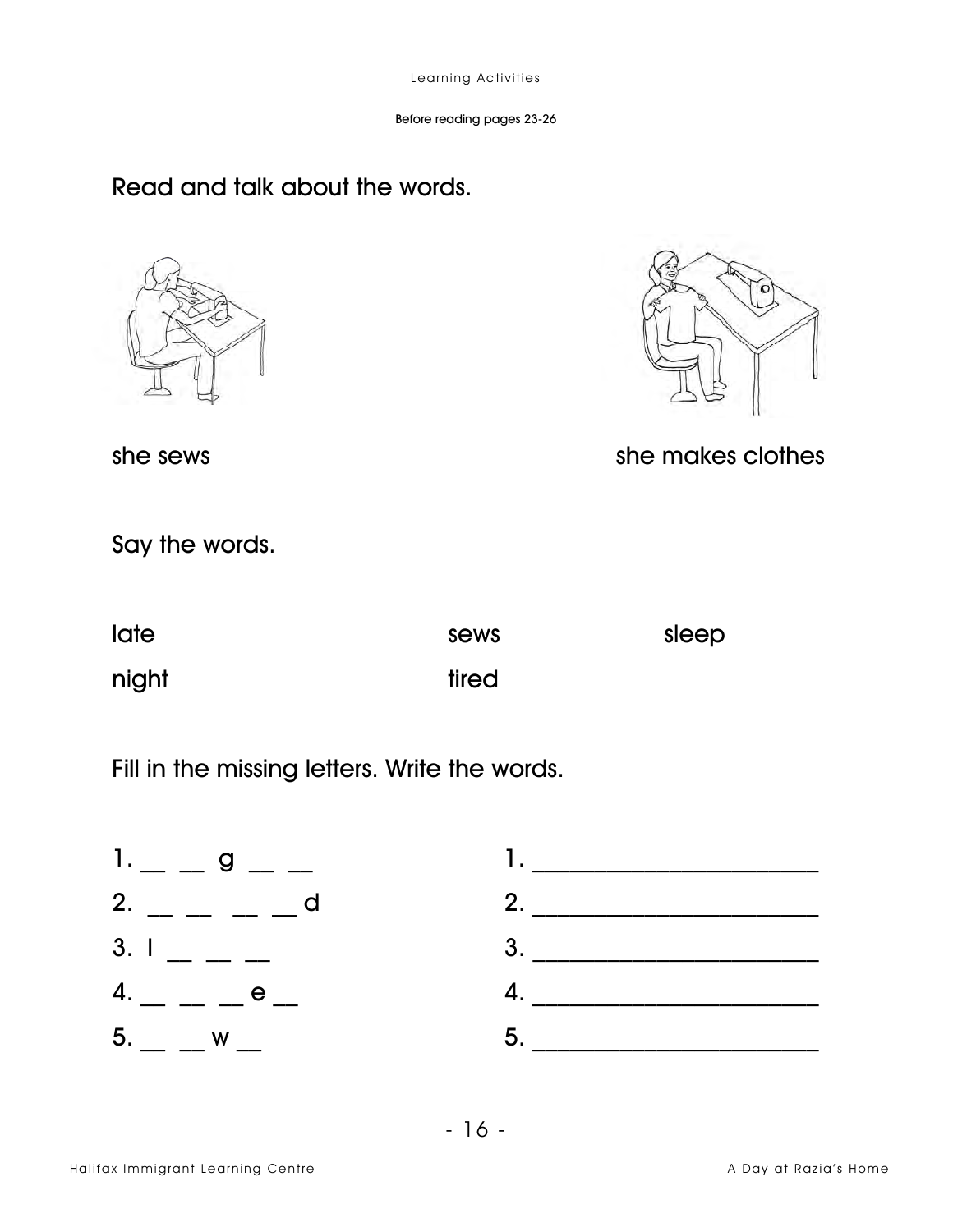# Read and talk about the words.





she sews

## she makes clothes

Say the words.

| <b>late</b> | sews  | sleep |
|-------------|-------|-------|
| night       | tired |       |

Fill in the missing letters. Write the words.

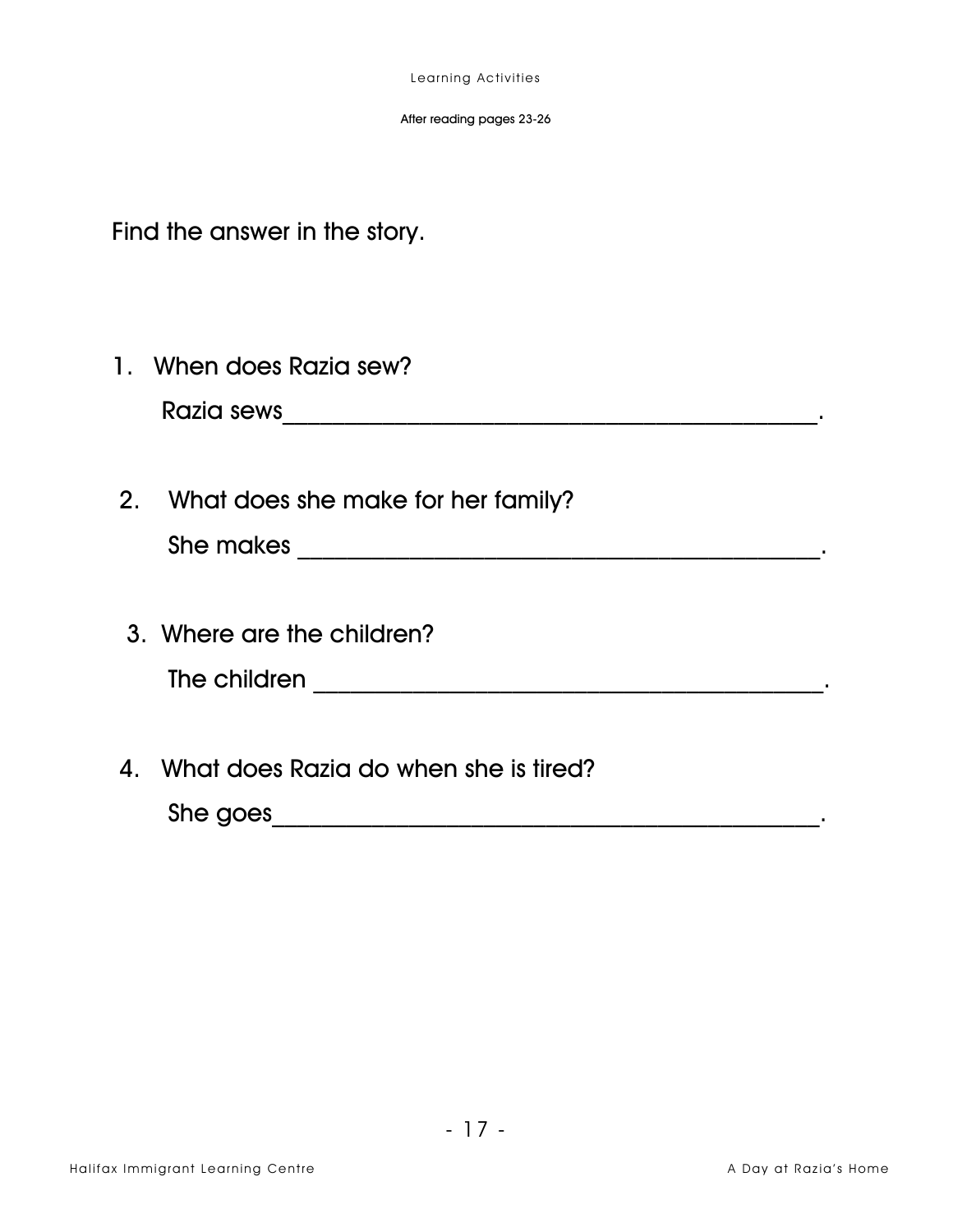Find the answer in the story.

- 1. When does Razia sew?
- 2. What does she make for her family?
- 3. Where are the children?
- 4. What does Razia do when she is tired?

She goes